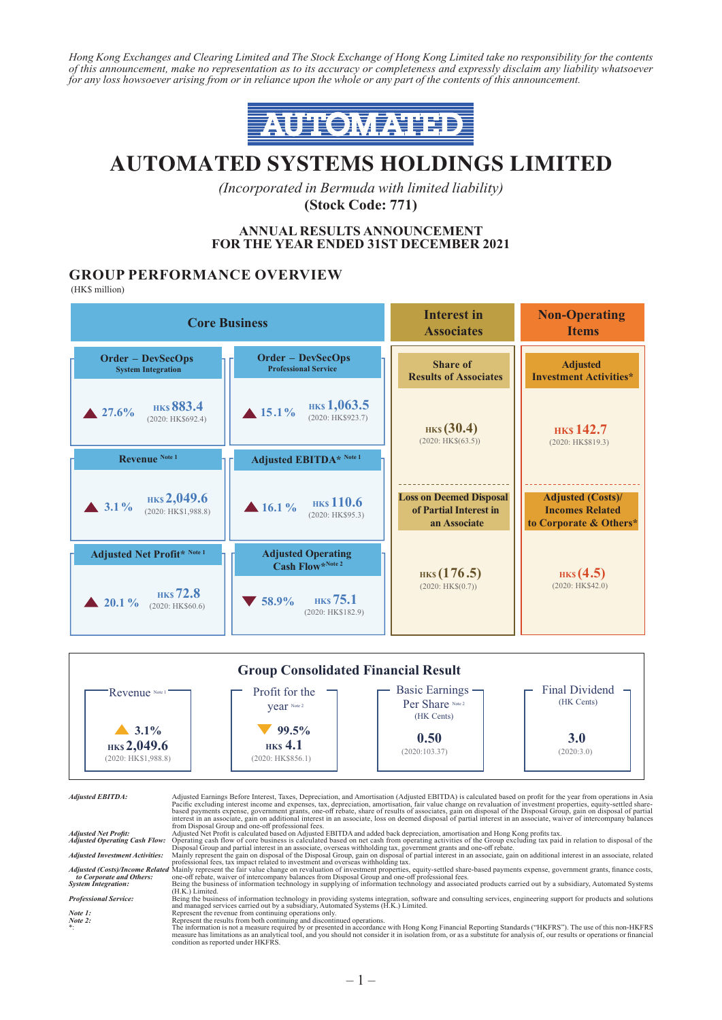*Hong Kong Exchanges and Clearing Limited and The Stock Exchange of Hong Kong Limited take no responsibility for the contents of this announcement, make no representation as to its accuracy or completeness and expressly disclaim any liability whatsoever for any loss howsoever arising from or in reliance upon the whole or any part of the contents of this announcement.*



# **AUTOMATED SYSTEMS HOLDINGS LIMITED**

*(Incorporated in Bermuda with limited liability)* **(Stock Code: 771)**

#### **ANNUAL RESULTS ANNOUNCEMENT FOR THE YEAR ENDED 31ST DECEMBER 2021**

### **GROUP PERFORMANCE OVERVIEW**

(HK\$ million)





Adjusted EBITDA:<br>
Adjusted EBITDA:<br>
Adjusted EBITDA:<br>
Pacific excluding interest income and expenses, tax, depreciation, amortisation, fair value charge on revaluation of investment properties, equity-settled share-<br>
based

and managed services carried out by a subsidiary, Automated Systems (H.K.) Limited.<br>
Note 1:<br>
Note 2:<br>
Note 2:<br>
Represent the revenue from continuing operations only.<br>
Represent the results from both continuing and discont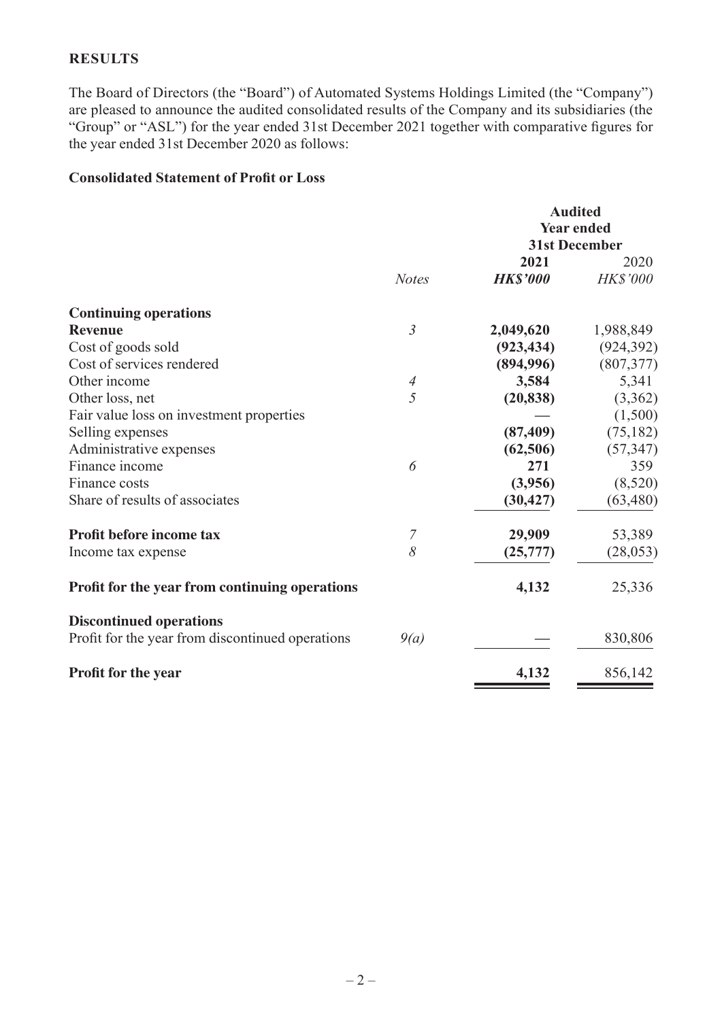### **RESULTS**

The Board of Directors (the "Board") of Automated Systems Holdings Limited (the "Company") are pleased to announce the audited consolidated results of the Company and its subsidiaries (the "Group" or "ASL") for the year ended 31st December 2021 together with comparative figures for the year ended 31st December 2020 as follows:

### **Consolidated Statement of Profit or Loss**

|                                                  |                | <b>Audited</b><br><b>Year ended</b><br><b>31st December</b> |                         |
|--------------------------------------------------|----------------|-------------------------------------------------------------|-------------------------|
|                                                  | <b>Notes</b>   | 2021<br><b>HK\$'000</b>                                     | 2020<br><b>HK\$'000</b> |
| <b>Continuing operations</b>                     |                |                                                             |                         |
| <b>Revenue</b>                                   | $\mathfrak{Z}$ | 2,049,620                                                   | 1,988,849               |
| Cost of goods sold                               |                | (923, 434)                                                  | (924, 392)              |
| Cost of services rendered                        |                | (894,996)                                                   | (807, 377)              |
| Other income                                     | $\overline{A}$ | 3,584                                                       | 5,341                   |
| Other loss, net                                  | 5              | (20, 838)                                                   | (3,362)                 |
| Fair value loss on investment properties         |                |                                                             | (1,500)                 |
| Selling expenses                                 |                | (87, 409)                                                   | (75, 182)               |
| Administrative expenses                          |                | (62, 506)                                                   | (57, 347)               |
| Finance income                                   | 6              | 271                                                         | 359                     |
| Finance costs                                    |                | (3,956)                                                     | (8,520)                 |
| Share of results of associates                   |                | (30, 427)                                                   | (63, 480)               |
| Profit before income tax                         | 7              | 29,909                                                      | 53,389                  |
| Income tax expense                               | 8              | (25,777)                                                    | (28, 053)               |
| Profit for the year from continuing operations   |                | 4,132                                                       | 25,336                  |
| <b>Discontinued operations</b>                   |                |                                                             |                         |
| Profit for the year from discontinued operations | 9(a)           |                                                             | 830,806                 |
| Profit for the year                              |                | 4,132                                                       | 856,142                 |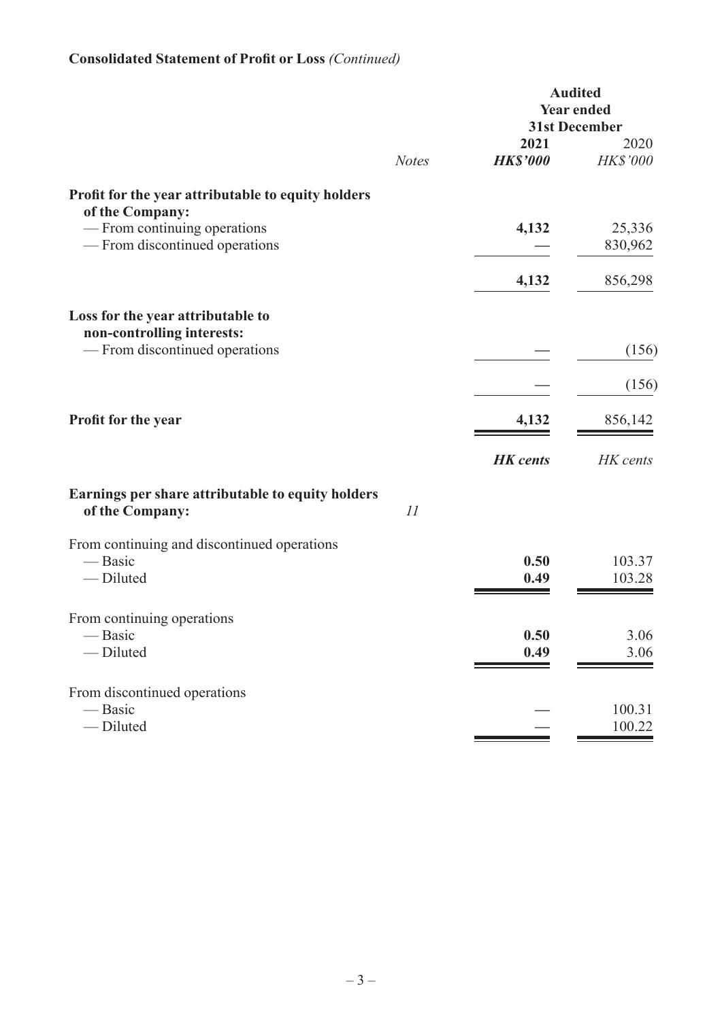# **Consolidated Statement of Profit or Loss** *(Continued)*

|                                                                                   |              | <b>Audited</b><br><b>Year ended</b><br><b>31st December</b> |                         |
|-----------------------------------------------------------------------------------|--------------|-------------------------------------------------------------|-------------------------|
|                                                                                   | <b>Notes</b> | 2021<br><b>HK\$'000</b>                                     | 2020<br><b>HK\$'000</b> |
| Profit for the year attributable to equity holders                                |              |                                                             |                         |
| of the Company:<br>— From continuing operations<br>— From discontinued operations |              | 4,132                                                       | 25,336<br>830,962       |
|                                                                                   |              | 4,132                                                       | 856,298                 |
| Loss for the year attributable to<br>non-controlling interests:                   |              |                                                             |                         |
| - From discontinued operations                                                    |              |                                                             | (156)                   |
|                                                                                   |              |                                                             | (156)                   |
| Profit for the year                                                               |              | 4,132                                                       | 856,142                 |
|                                                                                   |              | <b>HK</b> cents                                             | HK cents                |
| Earnings per share attributable to equity holders<br>of the Company:              | 11           |                                                             |                         |
| From continuing and discontinued operations<br>— Basic<br>-Diluted                |              | 0.50<br>0.49                                                | 103.37<br>103.28        |
| From continuing operations<br>- Basic<br>- Diluted                                |              | 0.50<br>0.49                                                | 3.06<br>3.06            |
| From discontinued operations<br>— Basic<br>-Diluted                               |              |                                                             | 100.31<br>100.22        |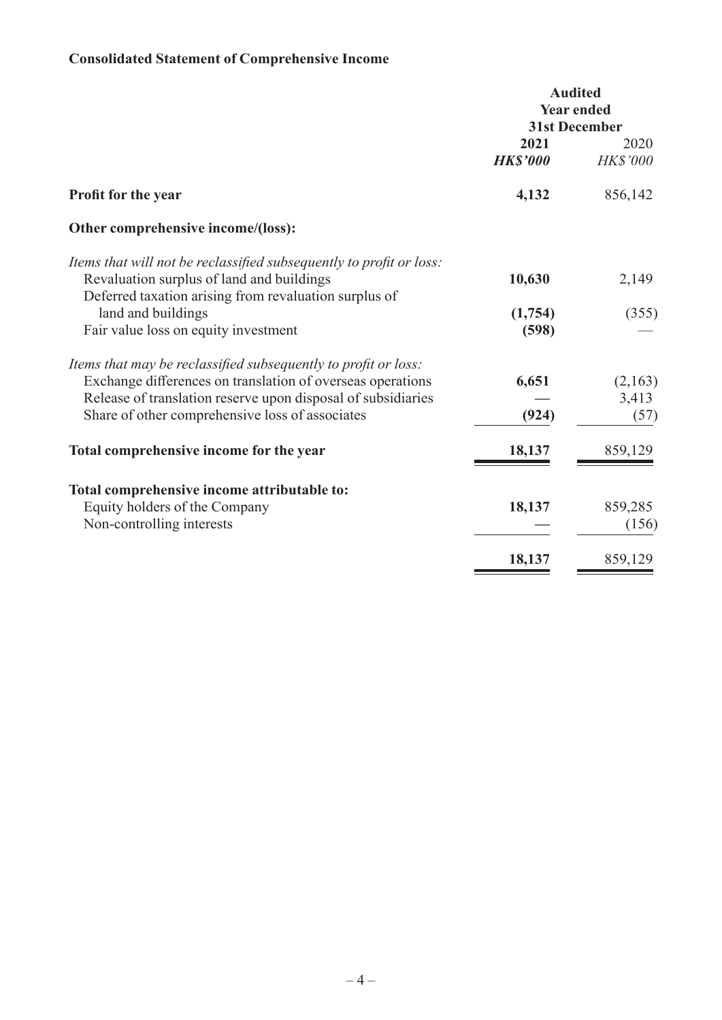# **Consolidated Statement of Comprehensive Income**

|                                                                                                                                                                                                                                                 | <b>Audited</b><br><b>Year ended</b><br><b>31st December</b> |                          |
|-------------------------------------------------------------------------------------------------------------------------------------------------------------------------------------------------------------------------------------------------|-------------------------------------------------------------|--------------------------|
|                                                                                                                                                                                                                                                 | 2021<br><b>HK\$'000</b>                                     | 2020<br><b>HK\$'000</b>  |
| <b>Profit for the year</b>                                                                                                                                                                                                                      | 4,132                                                       | 856,142                  |
| Other comprehensive income/(loss):                                                                                                                                                                                                              |                                                             |                          |
| Items that will not be reclassified subsequently to profit or loss:<br>Revaluation surplus of land and buildings<br>Deferred taxation arising from revaluation surplus of                                                                       | 10,630                                                      | 2,149                    |
| land and buildings<br>Fair value loss on equity investment                                                                                                                                                                                      | (1,754)<br>(598)                                            | (355)                    |
| Items that may be reclassified subsequently to profit or loss:<br>Exchange differences on translation of overseas operations<br>Release of translation reserve upon disposal of subsidiaries<br>Share of other comprehensive loss of associates | 6,651<br>(924)                                              | (2,163)<br>3,413<br>(57) |
| Total comprehensive income for the year                                                                                                                                                                                                         | 18,137                                                      | 859,129                  |
| Total comprehensive income attributable to:<br>Equity holders of the Company<br>Non-controlling interests                                                                                                                                       | 18,137                                                      | 859,285<br>(156)         |
|                                                                                                                                                                                                                                                 | 18,137                                                      | 859,129                  |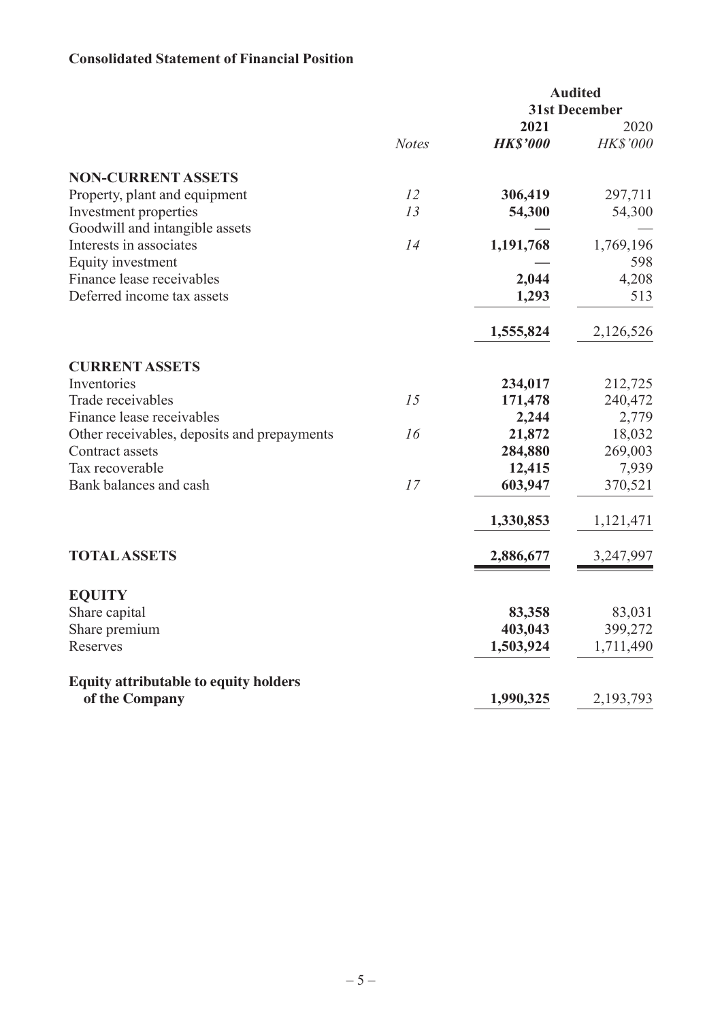## **Consolidated Statement of Financial Position**

|                                              |              | <b>Audited</b><br><b>31st December</b> |                 |
|----------------------------------------------|--------------|----------------------------------------|-----------------|
|                                              |              | 2021                                   | 2020            |
|                                              | <b>Notes</b> | <b>HK\$'000</b>                        | <b>HK\$'000</b> |
| <b>NON-CURRENT ASSETS</b>                    |              |                                        |                 |
| Property, plant and equipment                | 12           | 306,419                                | 297,711         |
| Investment properties                        | 13           | 54,300                                 | 54,300          |
| Goodwill and intangible assets               |              |                                        |                 |
| Interests in associates                      | 14           | 1,191,768                              | 1,769,196       |
| Equity investment                            |              |                                        | 598             |
| Finance lease receivables                    |              | 2,044                                  | 4,208           |
| Deferred income tax assets                   |              | 1,293                                  | 513             |
|                                              |              | 1,555,824                              | 2,126,526       |
| <b>CURRENT ASSETS</b>                        |              |                                        |                 |
| Inventories                                  |              | 234,017                                | 212,725         |
| Trade receivables                            | 15           | 171,478                                | 240,472         |
| Finance lease receivables                    |              | 2,244                                  | 2,779           |
| Other receivables, deposits and prepayments  | 16           | 21,872                                 | 18,032          |
| Contract assets                              |              | 284,880                                | 269,003         |
| Tax recoverable                              |              | 12,415                                 | 7,939           |
| Bank balances and cash                       | 17           | 603,947                                | 370,521         |
|                                              |              | 1,330,853                              | 1,121,471       |
| <b>TOTAL ASSETS</b>                          |              | 2,886,677                              | 3,247,997       |
| <b>EQUITY</b>                                |              |                                        |                 |
| Share capital                                |              | 83,358                                 | 83,031          |
| Share premium                                |              | 403,043                                | 399,272         |
| Reserves                                     |              | 1,503,924                              | 1,711,490       |
| <b>Equity attributable to equity holders</b> |              |                                        |                 |
| of the Company                               |              | 1,990,325                              | 2,193,793       |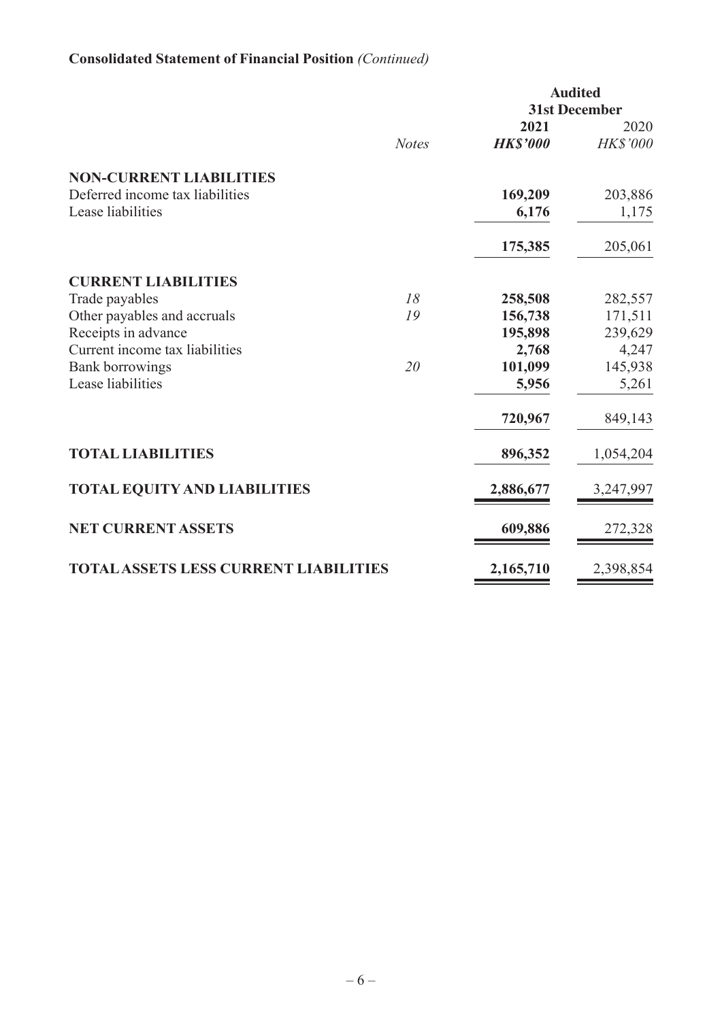# **Consolidated Statement of Financial Position** *(Continued)*

|                                              |              |                 | <b>Audited</b>       |
|----------------------------------------------|--------------|-----------------|----------------------|
|                                              |              |                 | <b>31st December</b> |
|                                              |              | 2021            | 2020                 |
|                                              | <b>Notes</b> | <b>HK\$'000</b> | <b>HK\$'000</b>      |
| <b>NON-CURRENT LIABILITIES</b>               |              |                 |                      |
| Deferred income tax liabilities              |              | 169,209         | 203,886              |
| Lease liabilities                            |              | 6,176           | 1,175                |
|                                              |              |                 |                      |
|                                              |              | 175,385         | 205,061              |
| <b>CURRENT LIABILITIES</b>                   |              |                 |                      |
| Trade payables                               | 18           | 258,508         | 282,557              |
| Other payables and accruals                  | 19           | 156,738         | 171,511              |
| Receipts in advance                          |              | 195,898         | 239,629              |
| Current income tax liabilities               |              | 2,768           | 4,247                |
| <b>Bank borrowings</b>                       | 20           | 101,099         | 145,938              |
| Lease liabilities                            |              | 5,956           | 5,261                |
|                                              |              | 720,967         | 849,143              |
| <b>TOTAL LIABILITIES</b>                     |              | 896,352         | 1,054,204            |
| <b>TOTAL EQUITY AND LIABILITIES</b>          |              | 2,886,677       | 3,247,997            |
| <b>NET CURRENT ASSETS</b>                    |              | 609,886         | 272,328              |
| <b>TOTAL ASSETS LESS CURRENT LIABILITIES</b> |              | 2,165,710       | 2,398,854            |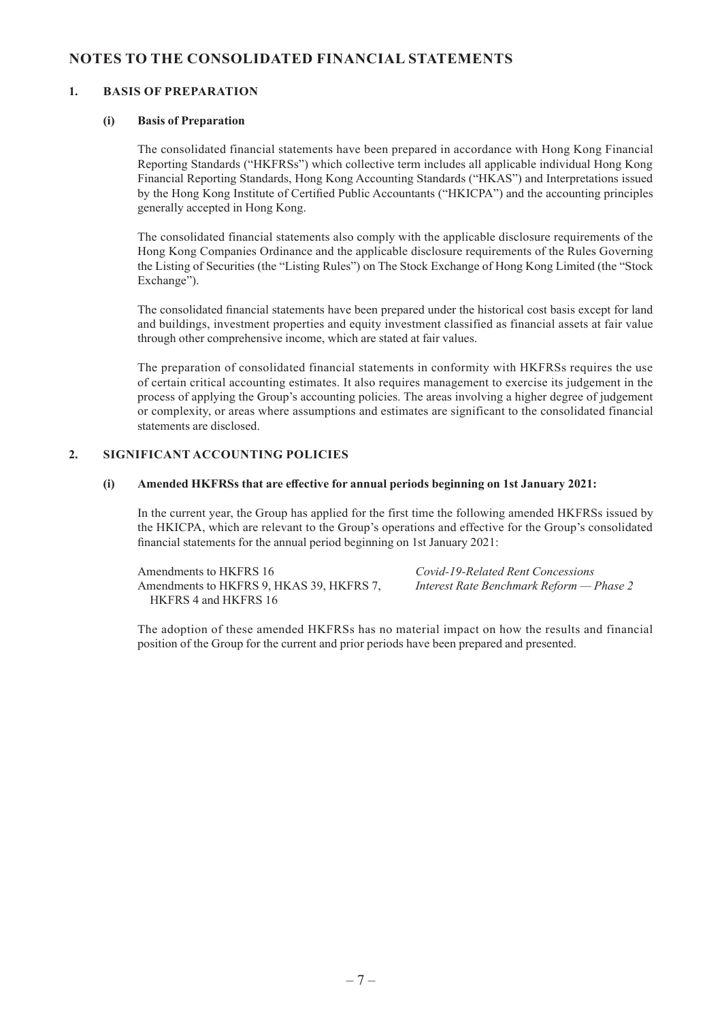### **NOTES TO THE CONSOLIDATED FINANCIAL STATEMENTS**

### **1. BASIS OF PREPARATION**

#### **(i) Basis of Preparation**

The consolidated financial statements have been prepared in accordance with Hong Kong Financial Reporting Standards ("HKFRSs") which collective term includes all applicable individual Hong Kong Financial Reporting Standards, Hong Kong Accounting Standards ("HKAS") and Interpretations issued by the Hong Kong Institute of Certified Public Accountants ("HKICPA") and the accounting principles generally accepted in Hong Kong.

The consolidated financial statements also comply with the applicable disclosure requirements of the Hong Kong Companies Ordinance and the applicable disclosure requirements of the Rules Governing the Listing of Securities (the "Listing Rules") on The Stock Exchange of Hong Kong Limited (the "Stock Exchange").

The consolidated financial statements have been prepared under the historical cost basis except for land and buildings, investment properties and equity investment classified as financial assets at fair value through other comprehensive income, which are stated at fair values.

The preparation of consolidated financial statements in conformity with HKFRSs requires the use of certain critical accounting estimates. It also requires management to exercise its judgement in the process of applying the Group's accounting policies. The areas involving a higher degree of judgement or complexity, or areas where assumptions and estimates are significant to the consolidated financial statements are disclosed.

#### **2. SIGNIFICANT ACCOUNTING POLICIES**

#### **(i) Amended HKFRSs that are effective for annual periods beginning on 1st January 2021:**

In the current year, the Group has applied for the first time the following amended HKFRSs issued by the HKICPA, which are relevant to the Group's operations and effective for the Group's consolidated financial statements for the annual period beginning on 1st January 2021:

Amendments to HKFRS 16 *Covid-19-Related Rent Concessions* Amendments to HKFRS 9, HKAS 39, HKFRS 7, *Interest Rate Benchmark Reform — Phase 2* HKFRS 4 and HKFRS 16

The adoption of these amended HKFRSs has no material impact on how the results and financial position of the Group for the current and prior periods have been prepared and presented.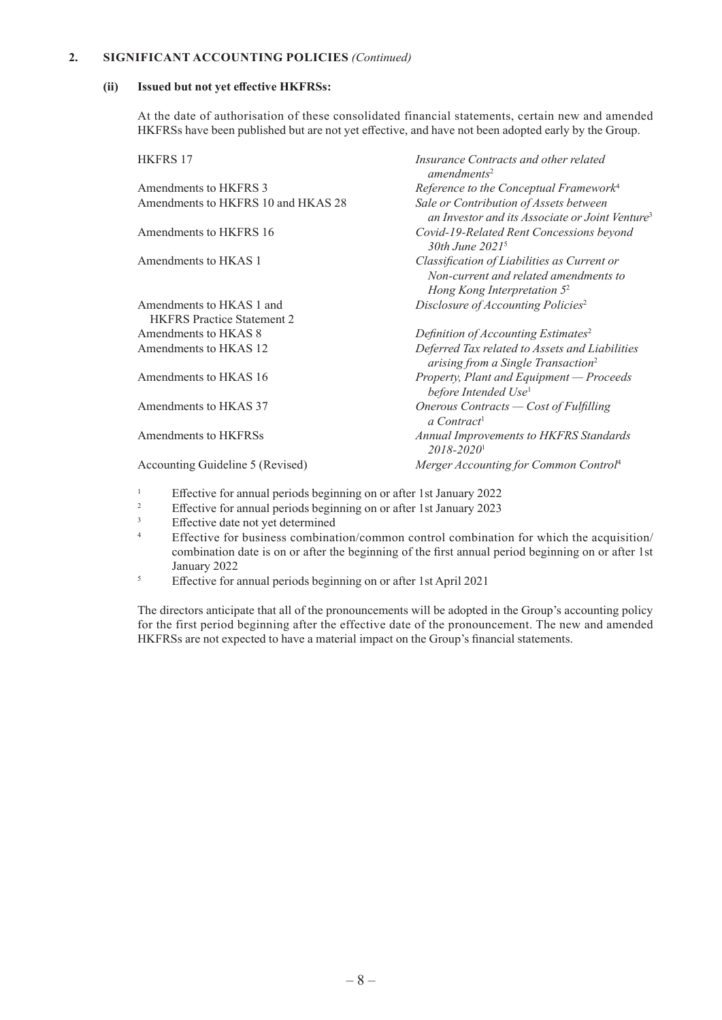#### **2. SIGNIFICANT ACCOUNTING POLICIES** *(Continued)*

#### **(ii) Issued but not yet effective HKFRSs:**

At the date of authorisation of these consolidated financial statements, certain new and amended HKFRSs have been published but are not yet effective, and have not been adopted early by the Group.

| <b>HKFRS 17</b>                    | Insurance Contracts and other related<br>amendments <sup>2</sup>                                                       |
|------------------------------------|------------------------------------------------------------------------------------------------------------------------|
| Amendments to HKFRS 3              | Reference to the Conceptual Framework <sup>4</sup>                                                                     |
| Amendments to HKFRS 10 and HKAS 28 | Sale or Contribution of Assets between<br>an Investor and its Associate or Joint Venture <sup>3</sup>                  |
| Amendments to HKFRS 16             | Covid-19-Related Rent Concessions beyond<br>30th June 2021 <sup>5</sup>                                                |
| Amendments to HKAS 1               | Classification of Liabilities as Current or<br>Non-current and related amendments to<br>Hong Kong Interpretation $5^2$ |
| Amendments to HKAS 1 and           | Disclosure of Accounting Policies <sup>2</sup>                                                                         |
| <b>HKFRS</b> Practice Statement 2  |                                                                                                                        |
| Amendments to HKAS 8               | Definition of Accounting Estimates <sup>2</sup>                                                                        |
| Amendments to HKAS 12              | Deferred Tax related to Assets and Liabilities<br>arising from a Single Transaction <sup>2</sup>                       |
| Amendments to HKAS 16              | Property, Plant and Equipment - Proceeds<br>before Intended Use <sup>1</sup>                                           |
| Amendments to HKAS 37              | Onerous Contracts $\sim$ Cost of Fulfilling<br>a Contract <sup>1</sup>                                                 |
| Amendments to HKFRSs               | Annual Improvements to HKFRS Standards<br>$2018 - 2020$ <sup>1</sup>                                                   |
| Accounting Guideline 5 (Revised)   | Merger Accounting for Common Control <sup>4</sup>                                                                      |
|                                    |                                                                                                                        |

- <sup>1</sup> Effective for annual periods beginning on or after 1st January 2022<br>Effective for annual periods beginning on or after 1st January 2023
- <sup>2</sup><br>Effective for annual periods beginning on or after 1st January 2023<br> $E$  Effective data not vet determined
- <sup>3</sup><br>Effective date not yet determined<br><sup>4</sup>
- <sup>4</sup> Effective for business combination/common control combination for which the acquisition/ combination date is on or after the beginning of the first annual period beginning on or after 1st January 2022
- <sup>5</sup> Effective for annual periods beginning on or after 1st April 2021

The directors anticipate that all of the pronouncements will be adopted in the Group's accounting policy for the first period beginning after the effective date of the pronouncement. The new and amended HKFRSs are not expected to have a material impact on the Group's financial statements.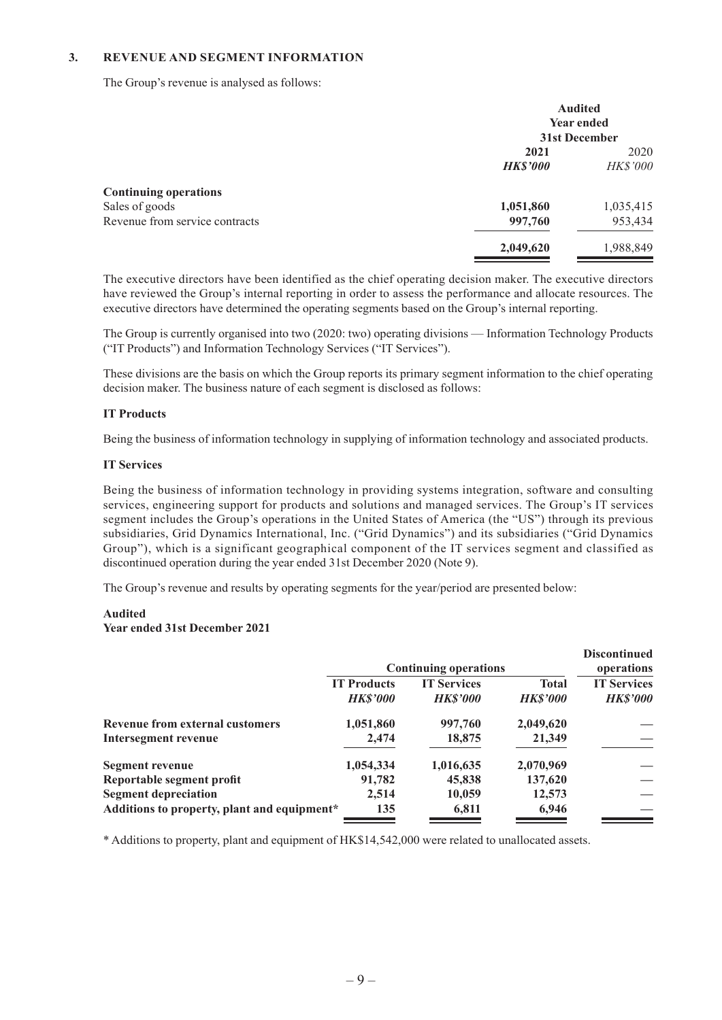### **3. REVENUE AND SEGMENT INFORMATION**

The Group's revenue is analysed as follows:

|                                | <b>Audited</b><br><b>Year ended</b><br>31st December |                 |
|--------------------------------|------------------------------------------------------|-----------------|
|                                |                                                      |                 |
|                                |                                                      |                 |
|                                | 2021                                                 |                 |
|                                | <b>HK\$'000</b>                                      | <b>HK\$'000</b> |
| <b>Continuing operations</b>   |                                                      |                 |
| Sales of goods                 | 1,051,860                                            | 1,035,415       |
| Revenue from service contracts | 997,760                                              | 953,434         |
|                                | 2,049,620                                            | 1,988,849       |

The executive directors have been identified as the chief operating decision maker. The executive directors have reviewed the Group's internal reporting in order to assess the performance and allocate resources. The executive directors have determined the operating segments based on the Group's internal reporting.

The Group is currently organised into two (2020: two) operating divisions — Information Technology Products ("IT Products") and Information Technology Services ("IT Services").

These divisions are the basis on which the Group reports its primary segment information to the chief operating decision maker. The business nature of each segment is disclosed as follows:

#### **IT Products**

Being the business of information technology in supplying of information technology and associated products.

#### **IT Services**

Being the business of information technology in providing systems integration, software and consulting services, engineering support for products and solutions and managed services. The Group's IT services segment includes the Group's operations in the United States of America (the "US") through its previous subsidiaries, Grid Dynamics International, Inc. ("Grid Dynamics") and its subsidiaries ("Grid Dynamics Group"), which is a significant geographical component of the IT services segment and classified as discontinued operation during the year ended 31st December 2020 (Note 9).

The Group's revenue and results by operating segments for the year/period are presented below:

#### **Audited**

#### **Year ended 31st December 2021**

|                                             | <b>Continuing operations</b>          |                                       |                                 | <b>Discontinued</b><br>operations     |
|---------------------------------------------|---------------------------------------|---------------------------------------|---------------------------------|---------------------------------------|
|                                             | <b>IT Products</b><br><b>HK\$'000</b> | <b>IT Services</b><br><b>HK\$'000</b> | <b>Total</b><br><b>HK\$'000</b> | <b>IT Services</b><br><b>HK\$'000</b> |
| <b>Revenue from external customers</b>      | 1,051,860                             | 997,760                               | 2,049,620                       |                                       |
| <b>Intersegment revenue</b>                 | 2,474                                 | 18,875                                | 21,349                          |                                       |
| Segment revenue                             | 1,054,334                             | 1,016,635                             | 2,070,969                       |                                       |
| Reportable segment profit                   | 91,782                                | 45,838                                | 137,620                         |                                       |
| <b>Segment depreciation</b>                 | 2,514                                 | 10,059                                | 12,573                          |                                       |
| Additions to property, plant and equipment* | 135                                   | 6,811                                 | 6,946                           |                                       |

\* Additions to property, plant and equipment of HK\$14,542,000 were related to unallocated assets.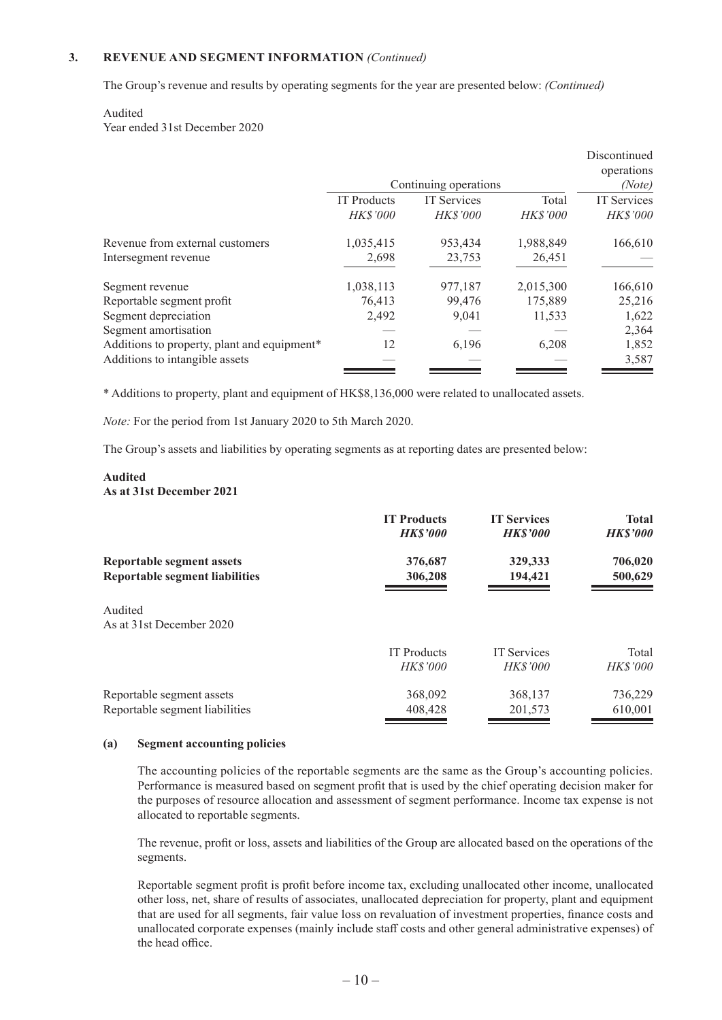The Group's revenue and results by operating segments for the year are presented below: *(Continued)*

#### Audited

Year ended 31st December 2020

|                                             |                    |                       |                 | Discontinued    |
|---------------------------------------------|--------------------|-----------------------|-----------------|-----------------|
|                                             |                    |                       |                 | operations      |
|                                             |                    | Continuing operations |                 | (Note)          |
|                                             | <b>IT</b> Products | <b>IT</b> Services    | Total           | IT Services     |
|                                             | <b>HK\$'000</b>    | <b>HK\$'000</b>       | <b>HK\$'000</b> | <b>HK\$'000</b> |
| Revenue from external customers             | 1,035,415          | 953,434               | 1,988,849       | 166,610         |
| Intersegment revenue                        | 2,698              | 23,753                | 26,451          |                 |
| Segment revenue                             | 1,038,113          | 977,187               | 2,015,300       | 166,610         |
| Reportable segment profit                   | 76,413             | 99,476                | 175,889         | 25,216          |
| Segment depreciation                        | 2,492              | 9.041                 | 11,533          | 1,622           |
| Segment amortisation                        |                    |                       |                 | 2,364           |
| Additions to property, plant and equipment* | 12                 | 6,196                 | 6,208           | 1,852           |
| Additions to intangible assets              |                    |                       |                 | 3,587           |

\* Additions to property, plant and equipment of HK\$8,136,000 were related to unallocated assets.

*Note:* For the period from 1st January 2020 to 5th March 2020.

The Group's assets and liabilities by operating segments as at reporting dates are presented below:

#### **Audited As at 31st December 2021**

|                                                                           | <b>IT Products</b><br><b>HKS'000</b> | <b>IT Services</b><br><b>HK\$'000</b> | <b>Total</b><br><b>HK\$'000</b> |
|---------------------------------------------------------------------------|--------------------------------------|---------------------------------------|---------------------------------|
| <b>Reportable segment assets</b><br><b>Reportable segment liabilities</b> | 376,687<br>306,208                   | 329,333<br>194,421                    | 706,020<br>500,629              |
| Audited<br>As at 31st December 2020                                       |                                      |                                       |                                 |
|                                                                           | <b>IT Products</b>                   | <b>IT Services</b>                    | Total                           |
|                                                                           | <b>HKS'000</b>                       | <b>HK\$'000</b>                       | <b>HKS'000</b>                  |
| Reportable segment assets                                                 | 368,092                              | 368,137                               | 736,229                         |
| Reportable segment liabilities                                            | 408,428                              | 201,573                               | 610,001                         |

#### **(a) Segment accounting policies**

The accounting policies of the reportable segments are the same as the Group's accounting policies. Performance is measured based on segment profit that is used by the chief operating decision maker for the purposes of resource allocation and assessment of segment performance. Income tax expense is not allocated to reportable segments.

The revenue, profit or loss, assets and liabilities of the Group are allocated based on the operations of the segments.

Reportable segment profit is profit before income tax, excluding unallocated other income, unallocated other loss, net, share of results of associates, unallocated depreciation for property, plant and equipment that are used for all segments, fair value loss on revaluation of investment properties, finance costs and unallocated corporate expenses (mainly include staff costs and other general administrative expenses) of the head office.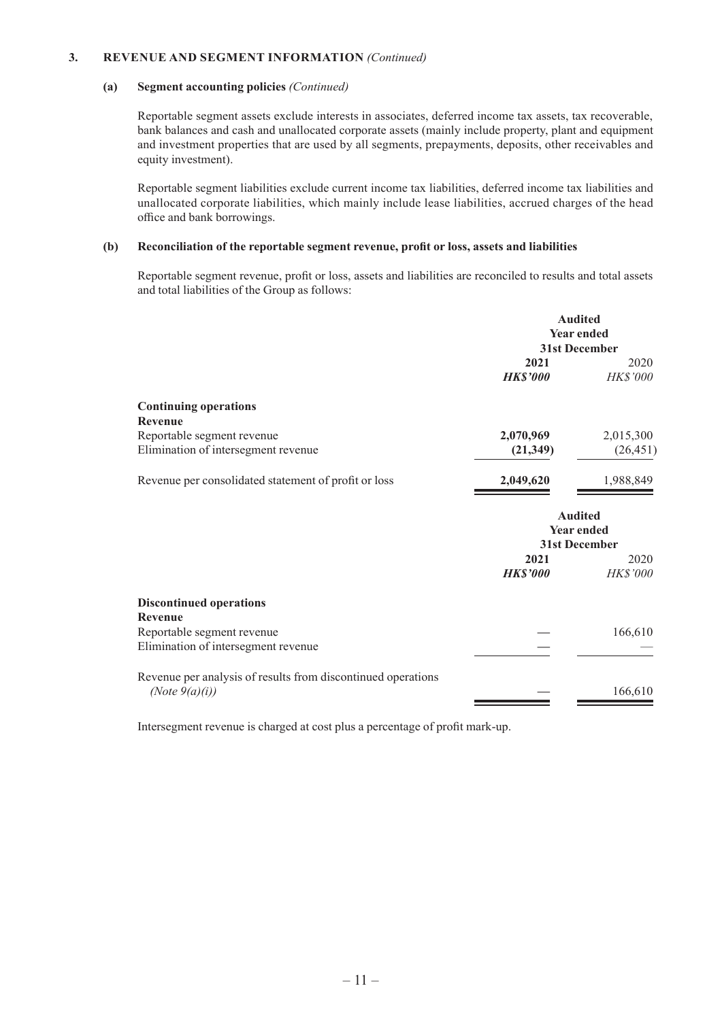#### **(a) Segment accounting policies** *(Continued)*

Reportable segment assets exclude interests in associates, deferred income tax assets, tax recoverable, bank balances and cash and unallocated corporate assets (mainly include property, plant and equipment and investment properties that are used by all segments, prepayments, deposits, other receivables and equity investment).

Reportable segment liabilities exclude current income tax liabilities, deferred income tax liabilities and unallocated corporate liabilities, which mainly include lease liabilities, accrued charges of the head office and bank borrowings.

#### **(b) Reconciliation of the reportable segment revenue, profit or loss, assets and liabilities**

Reportable segment revenue, profit or loss, assets and liabilities are reconciled to results and total assets and total liabilities of the Group as follows:

|                                                                                   | <b>Audited</b><br><b>Year ended</b><br>31st December |                                                      |
|-----------------------------------------------------------------------------------|------------------------------------------------------|------------------------------------------------------|
|                                                                                   | 2021<br><b>HK\$'000</b>                              | 2020<br><b>HK\$'000</b>                              |
| <b>Continuing operations</b><br><b>Revenue</b>                                    |                                                      |                                                      |
| Reportable segment revenue                                                        | 2,070,969                                            | 2,015,300                                            |
| Elimination of intersegment revenue                                               | (21, 349)                                            | (26, 451)                                            |
| Revenue per consolidated statement of profit or loss                              | 2,049,620                                            | 1,988,849                                            |
|                                                                                   |                                                      | <b>Audited</b><br><b>Year ended</b><br>31st December |
|                                                                                   | 2021                                                 | 2020                                                 |
|                                                                                   | <b>HK\$'000</b>                                      | <b>HK\$'000</b>                                      |
| <b>Discontinued operations</b><br>Revenue                                         |                                                      |                                                      |
| Reportable segment revenue                                                        |                                                      | 166,610                                              |
| Elimination of intersegment revenue                                               |                                                      |                                                      |
| Revenue per analysis of results from discontinued operations<br>(Note $9(a)(i)$ ) |                                                      | 166,610                                              |

Intersegment revenue is charged at cost plus a percentage of profit mark-up.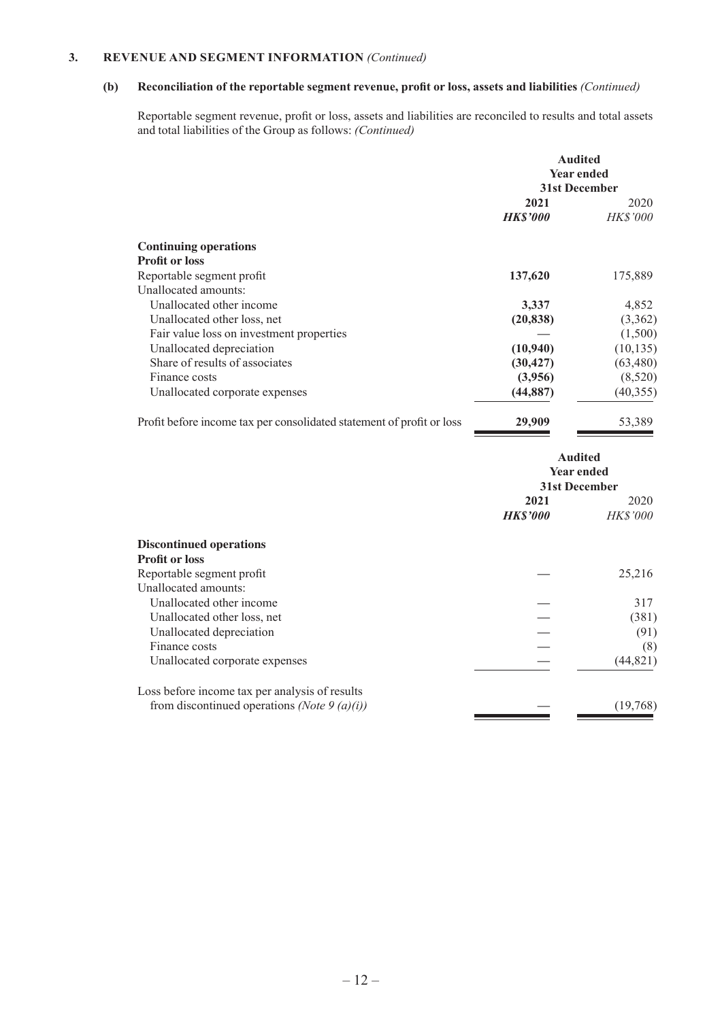### **(b) Reconciliation of the reportable segment revenue, profit or loss, assets and liabilities** *(Continued)*

Reportable segment revenue, profit or loss, assets and liabilities are reconciled to results and total assets and total liabilities of the Group as follows: *(Continued)*

|                                                                       | <b>Audited</b><br><b>Year ended</b><br>31st December |                         |
|-----------------------------------------------------------------------|------------------------------------------------------|-------------------------|
|                                                                       | 2021<br><b>HKS'000</b>                               | 2020<br><i>HK\$'000</i> |
|                                                                       |                                                      |                         |
| <b>Continuing operations</b><br><b>Profit or loss</b>                 |                                                      |                         |
| Reportable segment profit                                             | 137,620                                              | 175,889                 |
| Unallocated amounts:                                                  |                                                      |                         |
| Unallocated other income                                              | 3,337                                                | 4,852                   |
| Unallocated other loss, net                                           | (20, 838)                                            | (3,362)                 |
| Fair value loss on investment properties                              |                                                      | (1,500)                 |
| Unallocated depreciation                                              | (10, 940)                                            | (10, 135)               |
| Share of results of associates                                        | (30, 427)                                            | (63, 480)               |
| Finance costs                                                         | (3,956)                                              | (8,520)                 |
| Unallocated corporate expenses                                        | (44, 887)                                            | (40, 355)               |
| Profit before income tax per consolidated statement of profit or loss | 29,909                                               | 53,389                  |

|                                                | <b>Audited</b><br><b>Year ended</b><br>31st December |                         |
|------------------------------------------------|------------------------------------------------------|-------------------------|
|                                                | 2021<br><b>HK\$'000</b>                              | 2020<br><b>HK\$'000</b> |
| <b>Discontinued operations</b>                 |                                                      |                         |
| <b>Profit or loss</b>                          |                                                      |                         |
| Reportable segment profit                      |                                                      | 25,216                  |
| Unallocated amounts:                           |                                                      |                         |
| Unallocated other income                       |                                                      | 317                     |
| Unallocated other loss, net                    |                                                      | (381)                   |
| Unallocated depreciation                       |                                                      | (91)                    |
| Finance costs                                  |                                                      | (8)                     |
| Unallocated corporate expenses                 |                                                      | (44, 821)               |
| Loss before income tax per analysis of results |                                                      |                         |
| from discontinued operations (Note 9 (a)(i))   |                                                      | (19,768)                |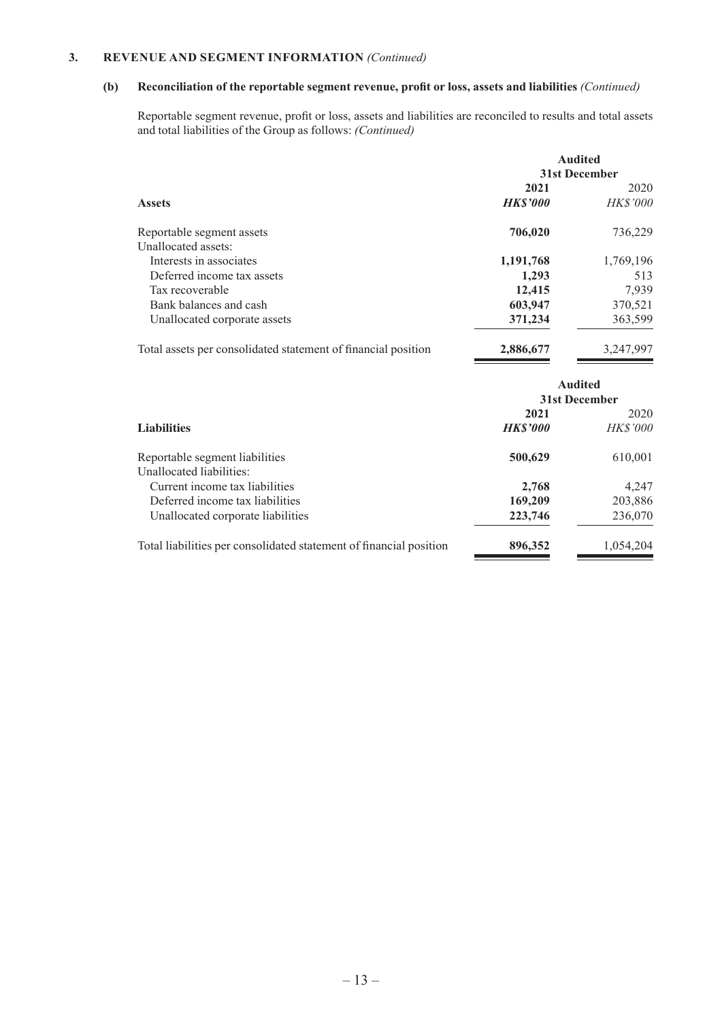### **(b) Reconciliation of the reportable segment revenue, profit or loss, assets and liabilities** *(Continued)*

Reportable segment revenue, profit or loss, assets and liabilities are reconciled to results and total assets and total liabilities of the Group as follows: *(Continued)*

|                                                                    |                | <b>Audited</b>  |
|--------------------------------------------------------------------|----------------|-----------------|
|                                                                    | 31st December  |                 |
|                                                                    | 2021           | 2020            |
| <b>Assets</b>                                                      | <b>HKS'000</b> | <b>HK\$'000</b> |
| Reportable segment assets                                          | 706,020        | 736,229         |
| Unallocated assets:                                                |                |                 |
| Interests in associates                                            | 1,191,768      | 1,769,196       |
| Deferred income tax assets                                         | 1,293          | 513             |
| Tax recoverable                                                    | 12,415         | 7,939           |
| Bank balances and cash                                             | 603,947        | 370,521         |
| Unallocated corporate assets                                       | 371,234        | 363,599         |
| Total assets per consolidated statement of financial position      | 2,886,677      | 3,247,997       |
|                                                                    |                | <b>Audited</b>  |
|                                                                    | 31st December  |                 |
|                                                                    | 2021           | 2020            |
| <b>Liabilities</b>                                                 | <b>HKS'000</b> | <b>HK\$'000</b> |
| Reportable segment liabilities<br>Unallocated liabilities:         | 500,629        | 610,001         |
| Current income tax liabilities                                     | 2,768          | 4,247           |
| Deferred income tax liabilities                                    | 169,209        | 203,886         |
| Unallocated corporate liabilities                                  | 223,746        | 236,070         |
| Total liabilities per consolidated statement of financial position | 896,352        | 1,054,204       |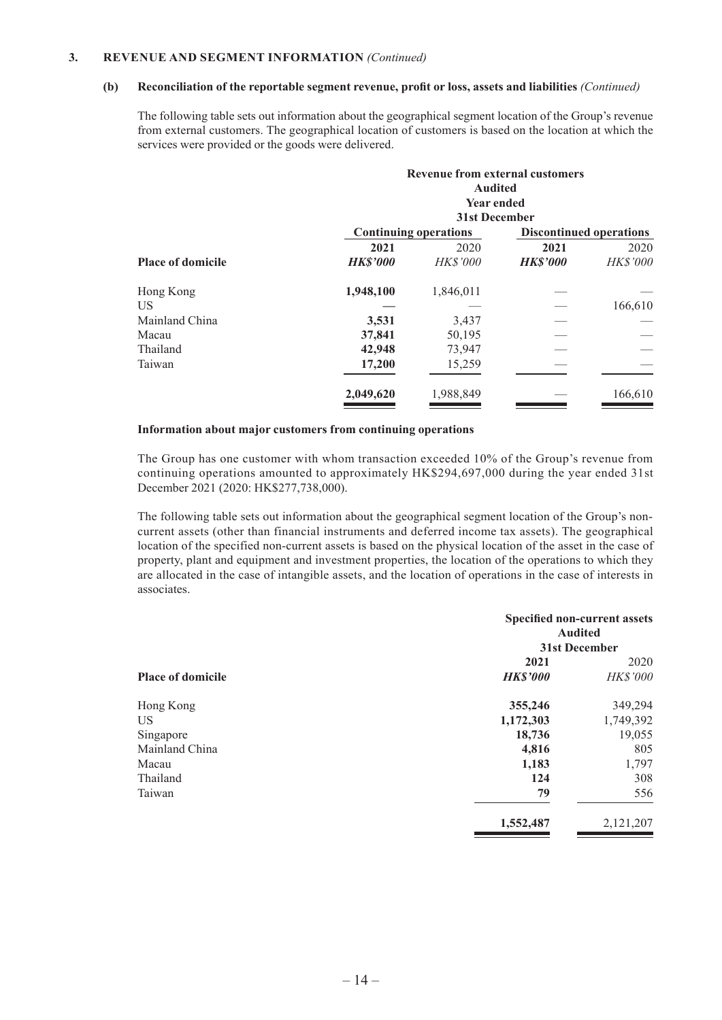#### **(b) Reconciliation of the reportable segment revenue, profit or loss, assets and liabilities** *(Continued)*

The following table sets out information about the geographical segment location of the Group's revenue from external customers. The geographical location of customers is based on the location at which the services were provided or the goods were delivered.

|                          |                 | <b>Revenue from external customers</b><br><b>Audited</b><br><b>Year ended</b><br><b>31st December</b> |                 |                                |  |
|--------------------------|-----------------|-------------------------------------------------------------------------------------------------------|-----------------|--------------------------------|--|
|                          |                 | <b>Continuing operations</b>                                                                          |                 | <b>Discontinued operations</b> |  |
|                          | 2021            | 2020                                                                                                  | 2021            | 2020                           |  |
| <b>Place of domicile</b> | <b>HK\$'000</b> | <b>HK\$'000</b>                                                                                       | <b>HK\$'000</b> | <b>HK\$'000</b>                |  |
| Hong Kong                | 1,948,100       | 1,846,011                                                                                             |                 |                                |  |
| US                       |                 |                                                                                                       |                 | 166,610                        |  |
| Mainland China           | 3,531           | 3,437                                                                                                 |                 |                                |  |
| Macau                    | 37,841          | 50,195                                                                                                |                 |                                |  |
| Thailand                 | 42,948          | 73,947                                                                                                |                 |                                |  |
| Taiwan                   | 17,200          | 15,259                                                                                                |                 |                                |  |
|                          | 2,049,620       | 1,988,849                                                                                             |                 | 166,610                        |  |

#### **Information about major customers from continuing operations**

The Group has one customer with whom transaction exceeded 10% of the Group's revenue from continuing operations amounted to approximately HK\$294,697,000 during the year ended 31st December 2021 (2020: HK\$277,738,000).

The following table sets out information about the geographical segment location of the Group's noncurrent assets (other than financial instruments and deferred income tax assets). The geographical location of the specified non-current assets is based on the physical location of the asset in the case of property, plant and equipment and investment properties, the location of the operations to which they are allocated in the case of intangible assets, and the location of operations in the case of interests in associates.

|                          |                 | <b>Specified non-current assets</b><br><b>Audited</b> |  |
|--------------------------|-----------------|-------------------------------------------------------|--|
|                          |                 | 31st December                                         |  |
|                          | 2021            | 2020                                                  |  |
| <b>Place of domicile</b> | <b>HK\$'000</b> | <b>HK\$'000</b>                                       |  |
| Hong Kong                | 355,246         | 349,294                                               |  |
| <b>US</b>                | 1,172,303       | 1,749,392                                             |  |
| Singapore                | 18,736          | 19,055                                                |  |
| Mainland China           | 4,816           | 805                                                   |  |
| Macau                    | 1,183           | 1,797                                                 |  |
| Thailand                 | 124             | 308                                                   |  |
| Taiwan                   | 79              | 556                                                   |  |
|                          | 1,552,487       | 2,121,207                                             |  |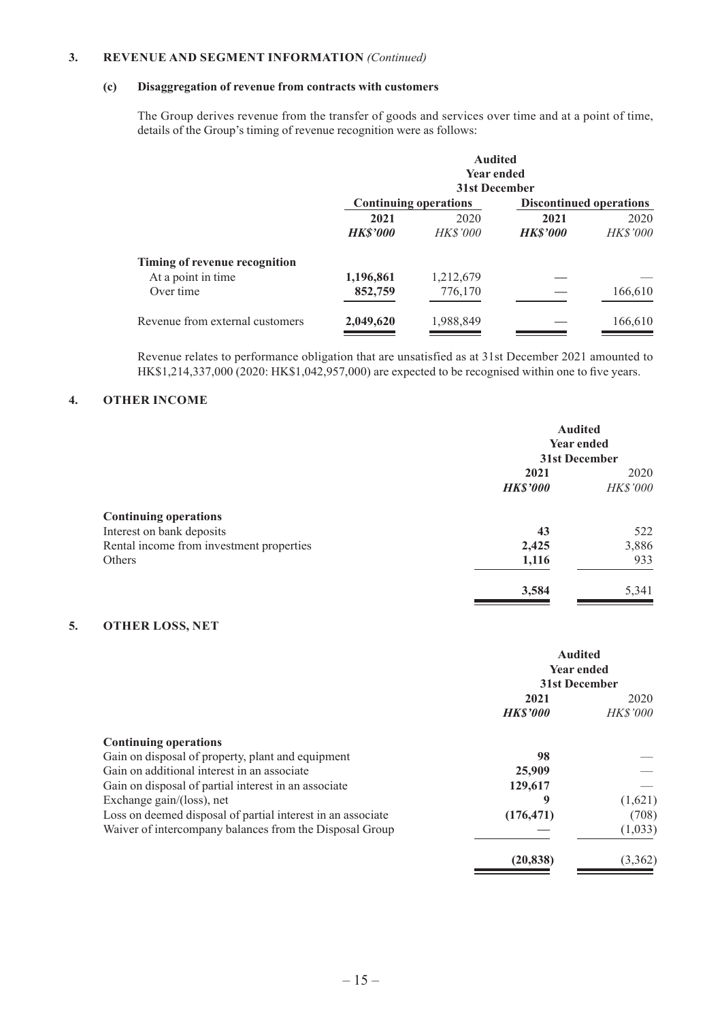### **(c) Disaggregation of revenue from contracts with customers**

The Group derives revenue from the transfer of goods and services over time and at a point of time, details of the Group's timing of revenue recognition were as follows:

|                                 |                              | <b>Audited</b><br><b>Year ended</b><br>31st December |                 |                                |
|---------------------------------|------------------------------|------------------------------------------------------|-----------------|--------------------------------|
|                                 | <b>Continuing operations</b> |                                                      |                 | <b>Discontinued operations</b> |
|                                 | 2021                         | 2020                                                 | 2021            | 2020                           |
|                                 | <b>HK\$'000</b>              | <i>HK\$'000</i>                                      | <b>HK\$'000</b> | <b>HK\$'000</b>                |
| Timing of revenue recognition   |                              |                                                      |                 |                                |
| At a point in time              | 1,196,861                    | 1,212,679                                            |                 |                                |
| Over time                       | 852,759                      | 776,170                                              |                 | 166,610                        |
| Revenue from external customers | 2,049,620                    | 1,988,849                                            |                 | 166,610                        |

Revenue relates to performance obligation that are unsatisfied as at 31st December 2021 amounted to HK\$1,214,337,000 (2020: HK\$1,042,957,000) are expected to be recognised within one to five years.

### **4. OTHER INCOME**

|                                                           | <b>Audited</b><br><b>Year ended</b><br>31st December |                  |
|-----------------------------------------------------------|------------------------------------------------------|------------------|
|                                                           | 2021<br><b>HK\$'000</b>                              | 2020<br>HK\$'000 |
| <b>Continuing operations</b><br>Interest on bank deposits | 43                                                   | 522              |
| Rental income from investment properties                  | 2,425                                                | 3,886            |
| Others                                                    | 1,116                                                | 933              |
|                                                           | 3,584                                                | 5,341            |

### **5. OTHER LOSS, NET**

|                                                             | <b>Audited</b><br><b>Year ended</b><br>31st December |                         |
|-------------------------------------------------------------|------------------------------------------------------|-------------------------|
|                                                             | 2021<br><b>HKS'000</b>                               | 2020<br><b>HK\$'000</b> |
|                                                             |                                                      |                         |
| <b>Continuing operations</b>                                |                                                      |                         |
| Gain on disposal of property, plant and equipment           | 98                                                   |                         |
| Gain on additional interest in an associate                 | 25,909                                               |                         |
| Gain on disposal of partial interest in an associate        | 129,617                                              |                         |
| Exchange gain/(loss), net                                   | 9                                                    | (1,621)                 |
| Loss on deemed disposal of partial interest in an associate | (176, 471)                                           | (708)                   |
| Waiver of intercompany balances from the Disposal Group     |                                                      | (1,033)                 |
|                                                             | (20, 838)                                            | (3,362)                 |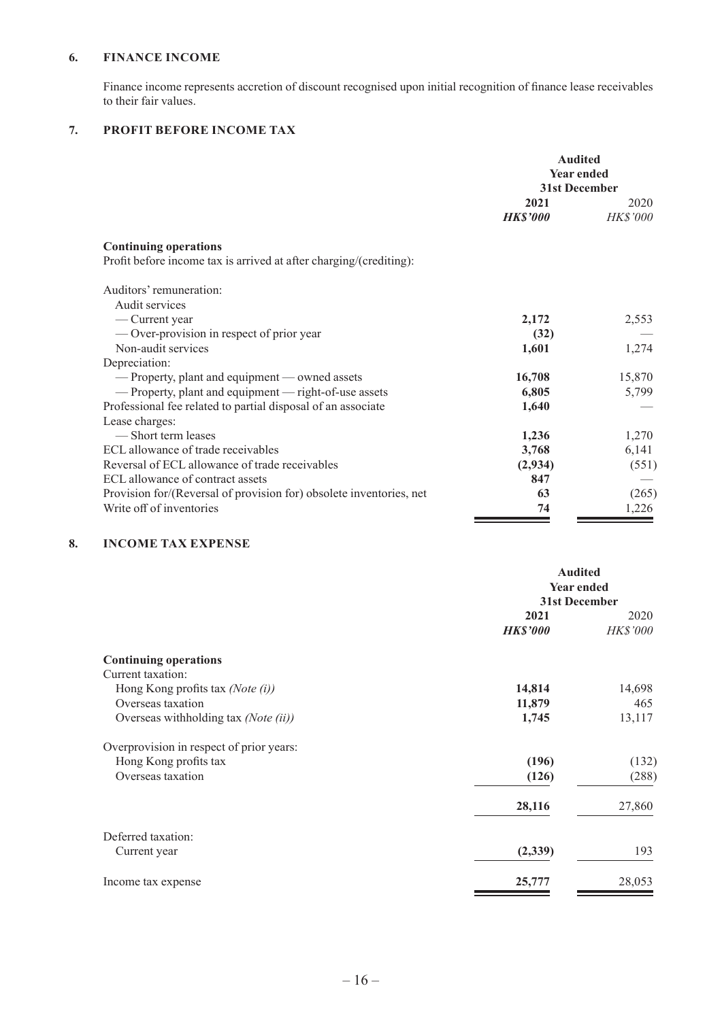### **6. FINANCE INCOME**

Finance income represents accretion of discount recognised upon initial recognition of finance lease receivables to their fair values.

### **7. PROFIT BEFORE INCOME TAX**

|                                                                     | <b>Audited</b><br><b>Year ended</b><br>31st December |                         |
|---------------------------------------------------------------------|------------------------------------------------------|-------------------------|
|                                                                     | 2021<br><b>HK\$'000</b>                              | 2020<br><b>HK\$'000</b> |
| <b>Continuing operations</b>                                        |                                                      |                         |
| Profit before income tax is arrived at after charging/(crediting):  |                                                      |                         |
| Auditors' remuneration:                                             |                                                      |                         |
| Audit services                                                      |                                                      |                         |
| - Current year                                                      | 2,172                                                | 2,553                   |
| — Over-provision in respect of prior year                           | (32)                                                 |                         |
| Non-audit services                                                  | 1,601                                                | 1,274                   |
| Depreciation:                                                       |                                                      |                         |
| - Property, plant and equipment - owned assets                      | 16,708                                               | 15,870                  |
| - Property, plant and equipment - right-of-use assets               | 6,805                                                | 5,799                   |
| Professional fee related to partial disposal of an associate        | 1,640                                                |                         |
| Lease charges:                                                      |                                                      |                         |
| -Short term leases                                                  | 1,236                                                | 1,270                   |
| ECL allowance of trade receivables                                  | 3,768                                                | 6,141                   |
| Reversal of ECL allowance of trade receivables                      | (2,934)                                              | (551)                   |
| ECL allowance of contract assets                                    | 847                                                  |                         |
| Provision for/(Reversal of provision for) obsolete inventories, net | 63                                                   | (265)                   |
| Write off of inventories                                            | 74                                                   | 1,226                   |

### **8. INCOME TAX EXPENSE**

|                                          | <b>Audited</b><br><b>Year ended</b> |          |
|------------------------------------------|-------------------------------------|----------|
|                                          | 31st December                       |          |
|                                          | 2021                                | 2020     |
|                                          | <b>HK\$'000</b>                     | HK\$'000 |
| <b>Continuing operations</b>             |                                     |          |
| Current taxation:                        |                                     |          |
| Hong Kong profits tax (Note $(i)$ )      | 14,814                              | 14,698   |
| Overseas taxation                        | 11,879                              | 465      |
| Overseas withholding tax (Note (ii))     | 1,745                               | 13,117   |
| Overprovision in respect of prior years: |                                     |          |
| Hong Kong profits tax                    | (196)                               | (132)    |
| Overseas taxation                        | (126)                               | (288)    |
|                                          | 28,116                              | 27,860   |
| Deferred taxation:                       |                                     |          |
| Current year                             | (2,339)                             | 193      |
| Income tax expense                       | 25,777                              | 28,053   |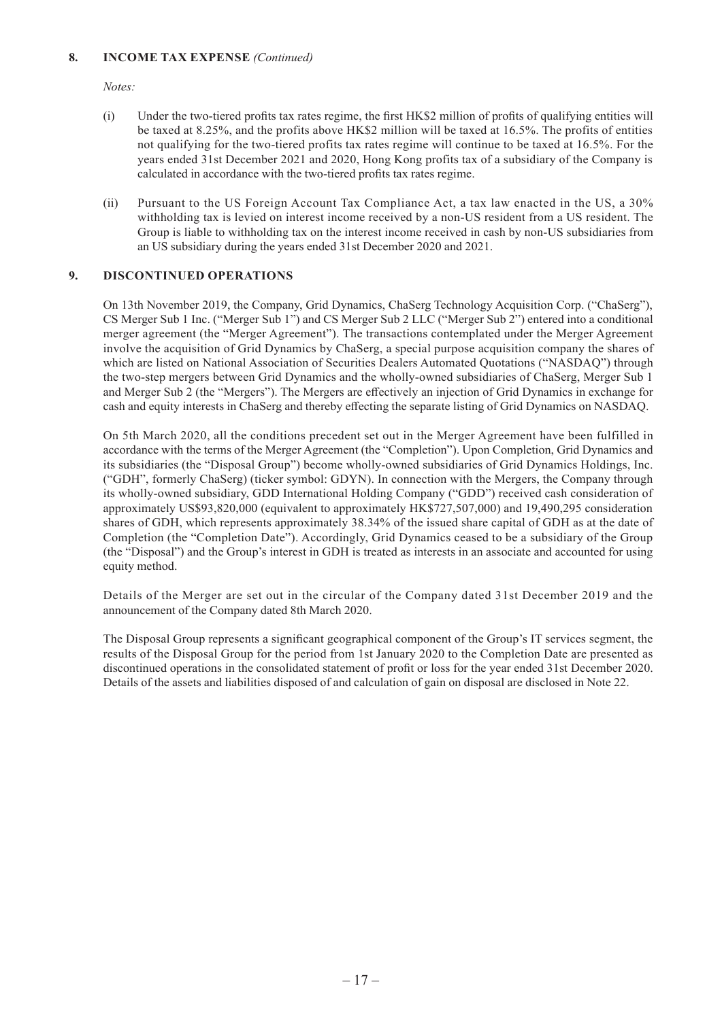#### **8. INCOME TAX EXPENSE** *(Continued)*

*Notes:*

- (i) Under the two-tiered profits tax rates regime, the first HK\$2 million of profits of qualifying entities will be taxed at 8.25%, and the profits above HK\$2 million will be taxed at 16.5%. The profits of entities not qualifying for the two-tiered profits tax rates regime will continue to be taxed at 16.5%. For the years ended 31st December 2021 and 2020, Hong Kong profits tax of a subsidiary of the Company is calculated in accordance with the two-tiered profits tax rates regime.
- (ii) Pursuant to the US Foreign Account Tax Compliance Act, a tax law enacted in the US, a 30% withholding tax is levied on interest income received by a non-US resident from a US resident. The Group is liable to withholding tax on the interest income received in cash by non-US subsidiaries from an US subsidiary during the years ended 31st December 2020 and 2021.

### **9. DISCONTINUED OPERATIONS**

On 13th November 2019, the Company, Grid Dynamics, ChaSerg Technology Acquisition Corp. ("ChaSerg"), CS Merger Sub 1 Inc. ("Merger Sub 1") and CS Merger Sub 2 LLC ("Merger Sub 2") entered into a conditional merger agreement (the "Merger Agreement"). The transactions contemplated under the Merger Agreement involve the acquisition of Grid Dynamics by ChaSerg, a special purpose acquisition company the shares of which are listed on National Association of Securities Dealers Automated Quotations ("NASDAQ") through the two-step mergers between Grid Dynamics and the wholly-owned subsidiaries of ChaSerg, Merger Sub 1 and Merger Sub 2 (the "Mergers"). The Mergers are effectively an injection of Grid Dynamics in exchange for cash and equity interests in ChaSerg and thereby effecting the separate listing of Grid Dynamics on NASDAQ.

On 5th March 2020, all the conditions precedent set out in the Merger Agreement have been fulfilled in accordance with the terms of the Merger Agreement (the "Completion"). Upon Completion, Grid Dynamics and its subsidiaries (the "Disposal Group") become wholly-owned subsidiaries of Grid Dynamics Holdings, Inc. ("GDH", formerly ChaSerg) (ticker symbol: GDYN). In connection with the Mergers, the Company through its wholly-owned subsidiary, GDD International Holding Company ("GDD") received cash consideration of approximately US\$93,820,000 (equivalent to approximately HK\$727,507,000) and 19,490,295 consideration shares of GDH, which represents approximately 38.34% of the issued share capital of GDH as at the date of Completion (the "Completion Date"). Accordingly, Grid Dynamics ceased to be a subsidiary of the Group (the "Disposal") and the Group's interest in GDH is treated as interests in an associate and accounted for using equity method.

Details of the Merger are set out in the circular of the Company dated 31st December 2019 and the announcement of the Company dated 8th March 2020.

The Disposal Group represents a significant geographical component of the Group's IT services segment, the results of the Disposal Group for the period from 1st January 2020 to the Completion Date are presented as discontinued operations in the consolidated statement of profit or loss for the year ended 31st December 2020. Details of the assets and liabilities disposed of and calculation of gain on disposal are disclosed in Note 22.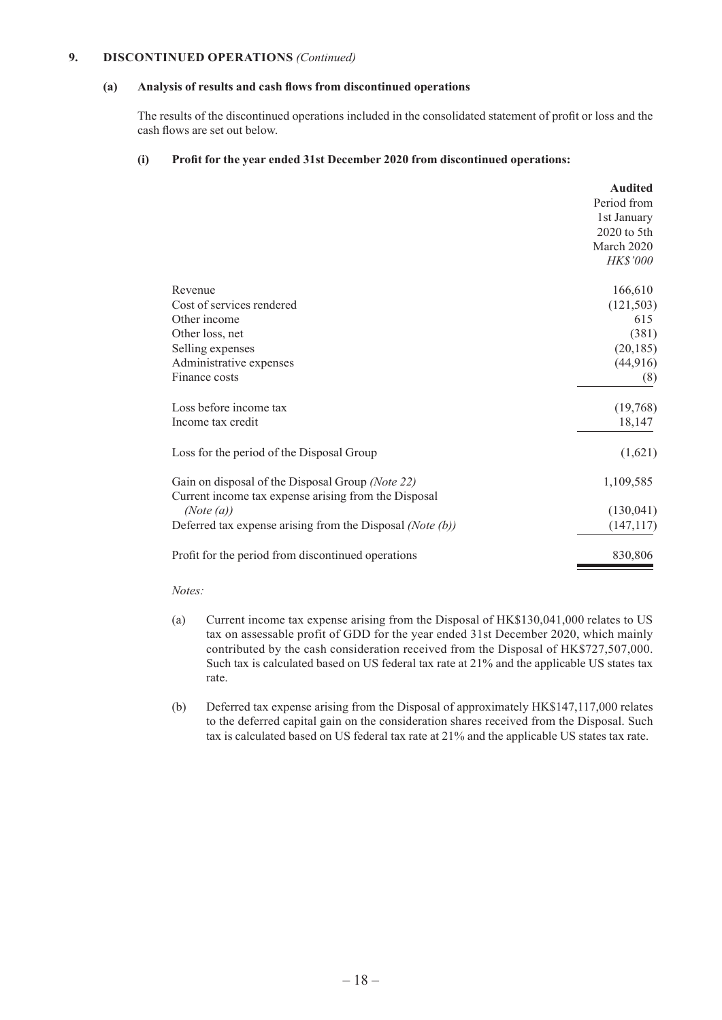#### **9. DISCONTINUED OPERATIONS** *(Continued)*

#### **(a) Analysis of results and cash flows from discontinued operations**

The results of the discontinued operations included in the consolidated statement of profit or loss and the cash flows are set out below.

#### **(i) Profit for the year ended 31st December 2020 from discontinued operations:**

|                                                                                                          | Period from<br>1st January<br>$2020$ to 5th |
|----------------------------------------------------------------------------------------------------------|---------------------------------------------|
|                                                                                                          |                                             |
|                                                                                                          |                                             |
|                                                                                                          |                                             |
|                                                                                                          | March 2020                                  |
|                                                                                                          | HK\$'000                                    |
| Revenue                                                                                                  | 166,610                                     |
| Cost of services rendered                                                                                | (121, 503)                                  |
| Other income                                                                                             | 615                                         |
| Other loss, net                                                                                          | (381)                                       |
| Selling expenses                                                                                         | (20, 185)                                   |
| Administrative expenses                                                                                  | (44, 916)                                   |
| Finance costs                                                                                            | (8)                                         |
| Loss before income tax                                                                                   | (19,768)                                    |
| Income tax credit                                                                                        | 18,147                                      |
| Loss for the period of the Disposal Group                                                                | (1,621)                                     |
| Gain on disposal of the Disposal Group (Note 22)<br>Current income tax expense arising from the Disposal | 1,109,585                                   |
| (Note (a))                                                                                               | (130, 041)                                  |
| Deferred tax expense arising from the Disposal (Note $(b)$ )                                             | (147, 117)                                  |
| Profit for the period from discontinued operations                                                       | 830,806                                     |

#### *Notes:*

- (a) Current income tax expense arising from the Disposal of HK\$130,041,000 relates to US tax on assessable profit of GDD for the year ended 31st December 2020, which mainly contributed by the cash consideration received from the Disposal of HK\$727,507,000. Such tax is calculated based on US federal tax rate at 21% and the applicable US states tax rate.
- (b) Deferred tax expense arising from the Disposal of approximately HK\$147,117,000 relates to the deferred capital gain on the consideration shares received from the Disposal. Such tax is calculated based on US federal tax rate at 21% and the applicable US states tax rate.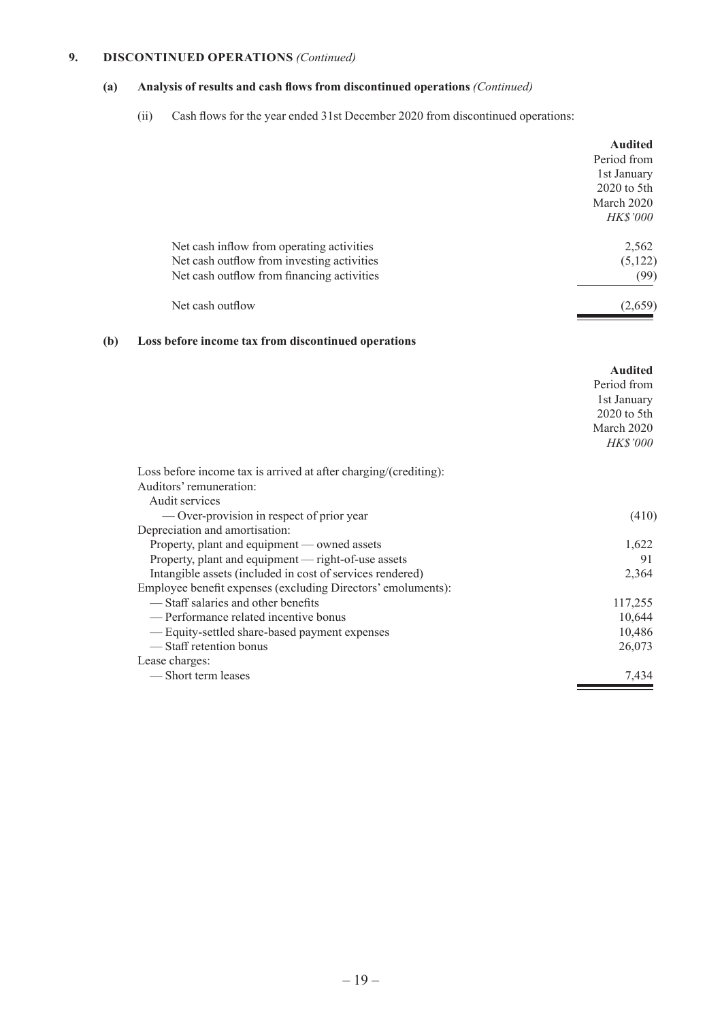### **9. DISCONTINUED OPERATIONS** *(Continued)*

### **(a) Analysis of results and cash flows from discontinued operations** *(Continued)*

(ii) Cash flows for the year ended 31st December 2020 from discontinued operations:

|                                                                                                                                                                  | <b>Audited</b><br>Period from<br>1st January<br>2020 to 5th<br>March 2020<br>HK\$'000   |
|------------------------------------------------------------------------------------------------------------------------------------------------------------------|-----------------------------------------------------------------------------------------|
| Net cash inflow from operating activities                                                                                                                        | 2,562                                                                                   |
| Net cash outflow from investing activities<br>Net cash outflow from financing activities                                                                         | (5,122)<br>(99)                                                                         |
| Net cash outflow                                                                                                                                                 | (2,659)                                                                                 |
| (b)<br>Loss before income tax from discontinued operations                                                                                                       |                                                                                         |
|                                                                                                                                                                  | <b>Audited</b><br>Period from<br>1st January<br>$2020$ to 5th<br>March 2020<br>HK\$'000 |
| Loss before income tax is arrived at after charging/(crediting):<br>Auditors' remuneration:                                                                      |                                                                                         |
| Audit services<br>— Over-provision in respect of prior year<br>Depreciation and amortisation:                                                                    | (410)                                                                                   |
| Property, plant and equipment — owned assets<br>Property, plant and equipment - right-of-use assets<br>Intangible assets (included in cost of services rendered) | 1.622<br>91<br>2,364                                                                    |
| Employee benefit expenses (excluding Directors' emoluments):<br>-Staff salaries and other benefits                                                               | 117,255                                                                                 |
| - Performance related incentive bonus                                                                                                                            | 10,644                                                                                  |
| - Equity-settled share-based payment expenses<br>-Staff retention bonus                                                                                          | 10,486<br>26,073                                                                        |
| Lease charges:<br>-Short term leases                                                                                                                             | 7,434                                                                                   |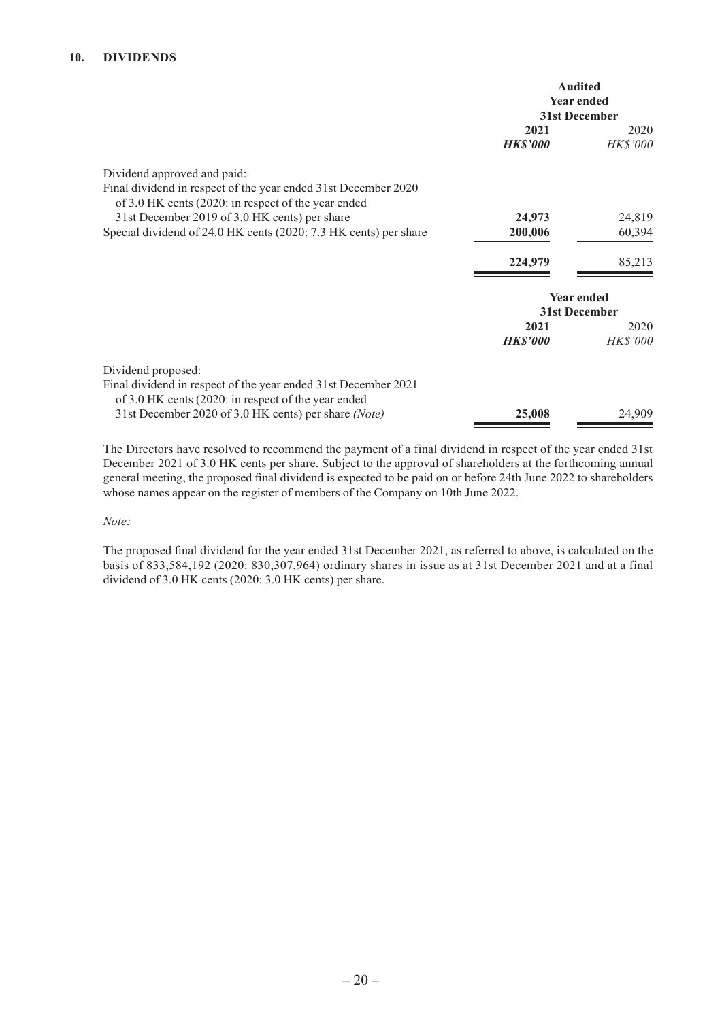### **10. DIVIDENDS**

|                                                                                                                                                      | <b>Audited</b><br><b>Year ended</b><br>31st December |                                    |
|------------------------------------------------------------------------------------------------------------------------------------------------------|------------------------------------------------------|------------------------------------|
|                                                                                                                                                      | 2021<br><b>HK\$'000</b>                              | 2020<br>HK\$'000                   |
| Dividend approved and paid:<br>Final dividend in respect of the year ended 31st December 2020<br>of 3.0 HK cents (2020: in respect of the year ended |                                                      |                                    |
| 31st December 2019 of 3.0 HK cents) per share                                                                                                        | 24,973                                               | 24,819                             |
| Special dividend of 24.0 HK cents (2020: 7.3 HK cents) per share                                                                                     | 200,006                                              | 60,394                             |
|                                                                                                                                                      | 224,979                                              | 85,213                             |
|                                                                                                                                                      |                                                      | <b>Year ended</b><br>31st December |
|                                                                                                                                                      | 2021                                                 | 2020                               |
|                                                                                                                                                      | <b>HK\$'000</b>                                      | <b>HK\$'000</b>                    |
| Dividend proposed:<br>Final dividend in respect of the year ended 31st December 2021<br>of 3.0 HK cents (2020: in respect of the year ended          |                                                      |                                    |
| 31st December 2020 of 3.0 HK cents) per share (Note)                                                                                                 | 25,008                                               | 24,909                             |

The Directors have resolved to recommend the payment of a final dividend in respect of the year ended 31st December 2021 of 3.0 HK cents per share. Subject to the approval of shareholders at the forthcoming annual general meeting, the proposed final dividend is expected to be paid on or before 24th June 2022 to shareholders whose names appear on the register of members of the Company on 10th June 2022.

*Note:*

The proposed final dividend for the year ended 31st December 2021, as referred to above, is calculated on the basis of 833,584,192 (2020: 830,307,964) ordinary shares in issue as at 31st December 2021 and at a final dividend of 3.0 HK cents (2020: 3.0 HK cents) per share.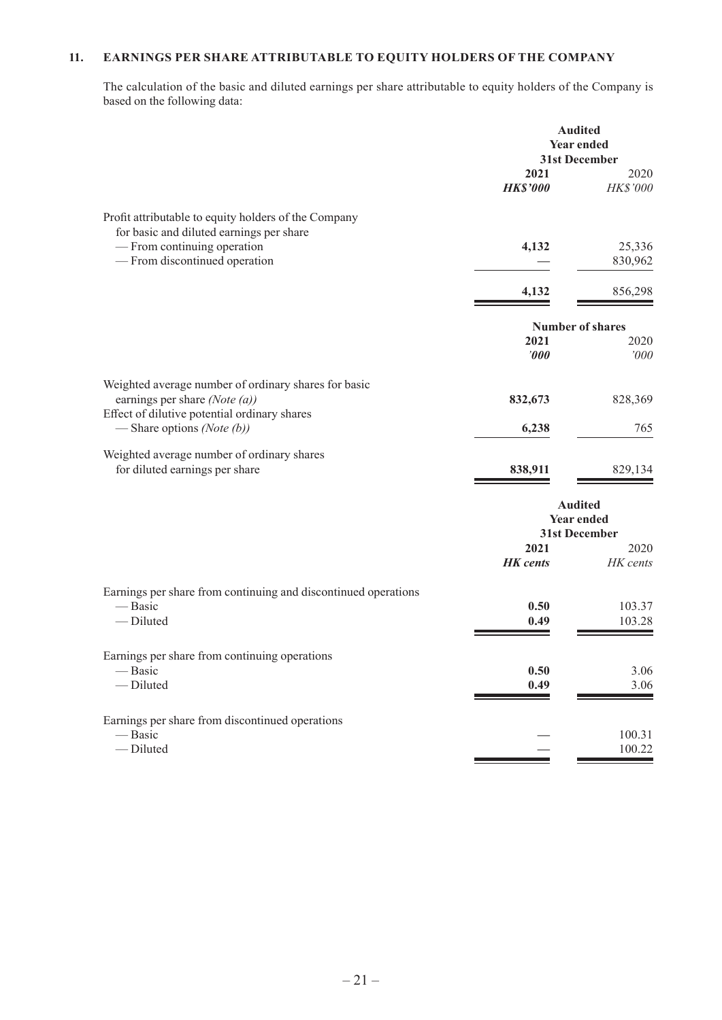### **11. EARNINGS PER SHARE ATTRIBUTABLE TO EQUITY HOLDERS OF THE COMPANY**

The calculation of the basic and diluted earnings per share attributable to equity holders of the Company is based on the following data:

|                                                                               | <b>Audited</b><br><b>Year ended</b><br>31st December |                         |
|-------------------------------------------------------------------------------|------------------------------------------------------|-------------------------|
|                                                                               | 2021                                                 | 2020                    |
|                                                                               | <b>HK\$'000</b>                                      | HK\$'000                |
| Profit attributable to equity holders of the Company                          |                                                      |                         |
| for basic and diluted earnings per share<br>- From continuing operation       | 4,132                                                | 25,336                  |
| - From discontinued operation                                                 |                                                      | 830,962                 |
|                                                                               | 4,132                                                | 856,298                 |
|                                                                               |                                                      |                         |
|                                                                               |                                                      | <b>Number of shares</b> |
|                                                                               | 2021<br>$\bm{000}$                                   | 2020<br>'000            |
| Weighted average number of ordinary shares for basic                          |                                                      |                         |
| earnings per share (Note $(a)$ )                                              | 832,673                                              | 828,369                 |
| Effect of dilutive potential ordinary shares<br>— Share options (Note $(b)$ ) | 6,238                                                | 765                     |
| Weighted average number of ordinary shares                                    |                                                      |                         |
| for diluted earnings per share                                                | 838,911                                              | 829,134                 |
|                                                                               |                                                      | <b>Audited</b>          |
|                                                                               | <b>Year ended</b>                                    |                         |
|                                                                               | 2021                                                 | 31st December<br>2020   |
|                                                                               | <b>HK</b> cents                                      | HK cents                |
| Earnings per share from continuing and discontinued operations                |                                                      |                         |
| — Basic                                                                       | 0.50                                                 | 103.37                  |
| -Diluted                                                                      | 0.49                                                 | 103.28                  |
| Earnings per share from continuing operations                                 |                                                      |                         |
| - Basic                                                                       | 0.50                                                 | 3.06                    |
| - Diluted                                                                     | 0.49                                                 | 3.06                    |
| Earnings per share from discontinued operations                               |                                                      |                         |
| — Basic                                                                       |                                                      | 100.31                  |
| - Diluted                                                                     |                                                      | 100.22                  |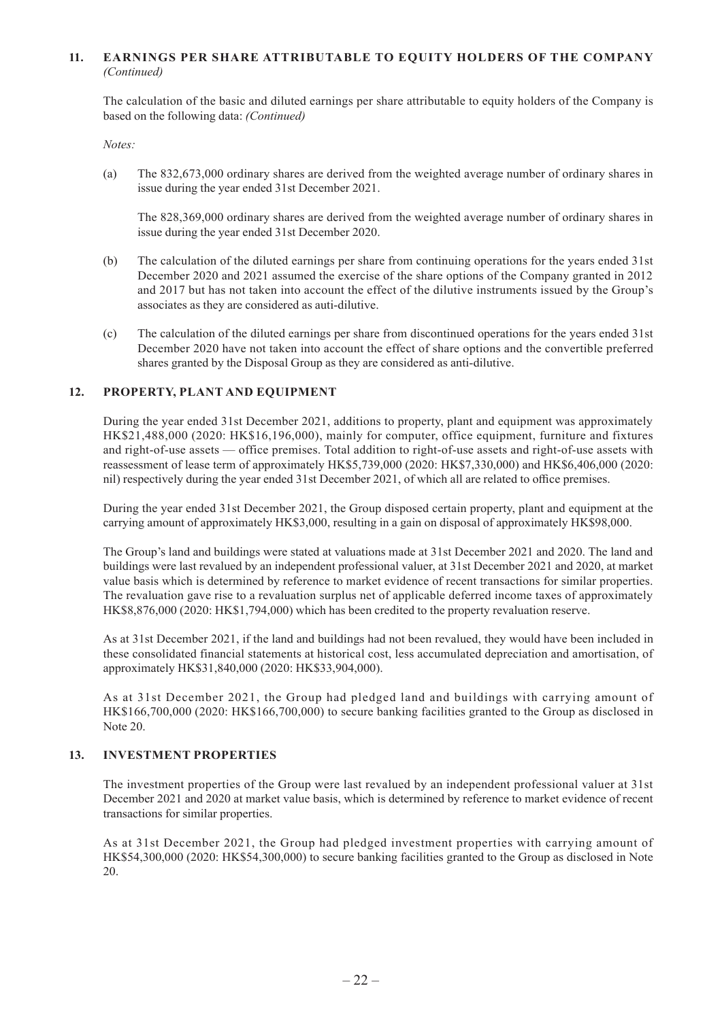### **11. EARNINGS PER SHARE ATTRIBUTABLE TO EQUITY HOLDERS OF THE COMPANY**  *(Continued)*

The calculation of the basic and diluted earnings per share attributable to equity holders of the Company is based on the following data: *(Continued)*

*Notes:*

(a) The 832,673,000 ordinary shares are derived from the weighted average number of ordinary shares in issue during the year ended 31st December 2021.

The 828,369,000 ordinary shares are derived from the weighted average number of ordinary shares in issue during the year ended 31st December 2020.

- (b) The calculation of the diluted earnings per share from continuing operations for the years ended 31st December 2020 and 2021 assumed the exercise of the share options of the Company granted in 2012 and 2017 but has not taken into account the effect of the dilutive instruments issued by the Group's associates as they are considered as auti-dilutive.
- (c) The calculation of the diluted earnings per share from discontinued operations for the years ended 31st December 2020 have not taken into account the effect of share options and the convertible preferred shares granted by the Disposal Group as they are considered as anti-dilutive.

#### **12. PROPERTY, PLANT AND EQUIPMENT**

During the year ended 31st December 2021, additions to property, plant and equipment was approximately HK\$21,488,000 (2020: HK\$16,196,000), mainly for computer, office equipment, furniture and fixtures and right-of-use assets — office premises. Total addition to right-of-use assets and right-of-use assets with reassessment of lease term of approximately HK\$5,739,000 (2020: HK\$7,330,000) and HK\$6,406,000 (2020: nil) respectively during the year ended 31st December 2021, of which all are related to office premises.

During the year ended 31st December 2021, the Group disposed certain property, plant and equipment at the carrying amount of approximately HK\$3,000, resulting in a gain on disposal of approximately HK\$98,000.

The Group's land and buildings were stated at valuations made at 31st December 2021 and 2020. The land and buildings were last revalued by an independent professional valuer, at 31st December 2021 and 2020, at market value basis which is determined by reference to market evidence of recent transactions for similar properties. The revaluation gave rise to a revaluation surplus net of applicable deferred income taxes of approximately HK\$8,876,000 (2020: HK\$1,794,000) which has been credited to the property revaluation reserve.

As at 31st December 2021, if the land and buildings had not been revalued, they would have been included in these consolidated financial statements at historical cost, less accumulated depreciation and amortisation, of approximately HK\$31,840,000 (2020: HK\$33,904,000).

As at 31st December 2021, the Group had pledged land and buildings with carrying amount of HK\$166,700,000 (2020: HK\$166,700,000) to secure banking facilities granted to the Group as disclosed in Note 20.

#### **13. INVESTMENT PROPERTIES**

The investment properties of the Group were last revalued by an independent professional valuer at 31st December 2021 and 2020 at market value basis, which is determined by reference to market evidence of recent transactions for similar properties.

As at 31st December 2021, the Group had pledged investment properties with carrying amount of HK\$54,300,000 (2020: HK\$54,300,000) to secure banking facilities granted to the Group as disclosed in Note 20.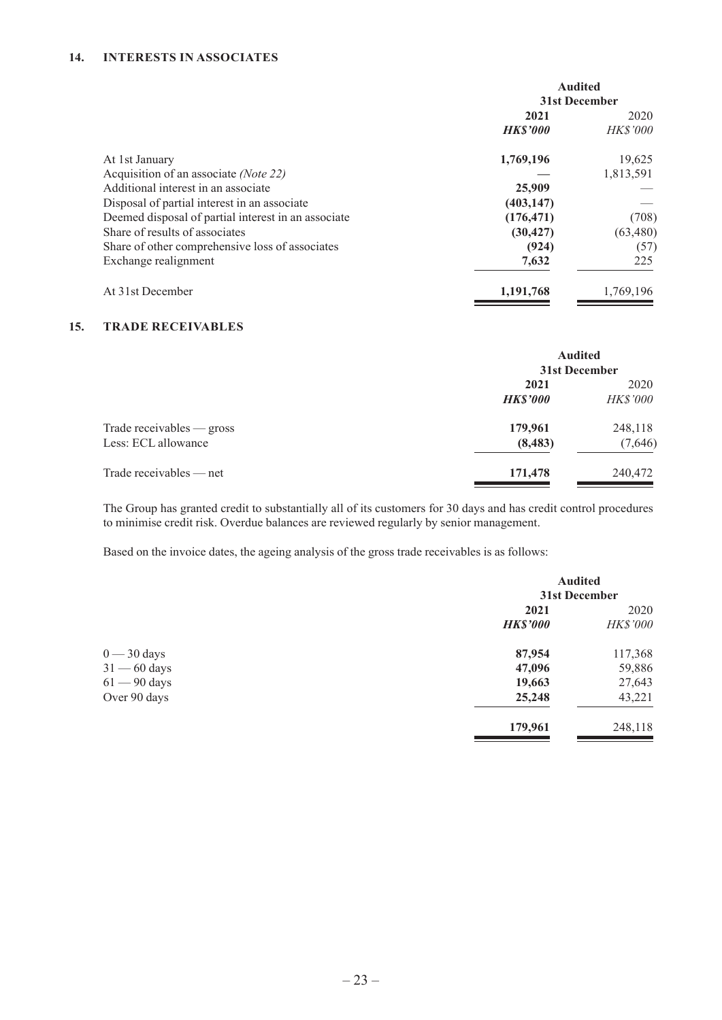### **14. INTERESTS IN ASSOCIATES**

|                                                     | <b>Audited</b> |                 |
|-----------------------------------------------------|----------------|-----------------|
|                                                     | 31st December  |                 |
|                                                     | 2021           | 2020            |
|                                                     | <b>HKS'000</b> | <i>HK\$'000</i> |
| At 1st January                                      | 1,769,196      | 19,625          |
| Acquisition of an associate (Note 22)               |                | 1,813,591       |
| Additional interest in an associate                 | 25,909         |                 |
| Disposal of partial interest in an associate        | (403, 147)     |                 |
| Deemed disposal of partial interest in an associate | (176, 471)     | (708)           |
| Share of results of associates                      | (30, 427)      | (63, 480)       |
| Share of other comprehensive loss of associates     | (924)          | (57)            |
| Exchange realignment                                | 7,632          | 225             |
| At 31st December                                    | 1,191,768      | 1,769,196       |

### **15. TRADE RECEIVABLES**

|                           |                 | <b>Audited</b><br>31st December |  |
|---------------------------|-----------------|---------------------------------|--|
|                           | 2021            | 2020                            |  |
|                           | <b>HK\$'000</b> | <b>HK\$'000</b>                 |  |
| Trade receivables — gross | 179,961         | 248,118                         |  |
| Less: ECL allowance       | (8, 483)        | (7,646)                         |  |
| Trade receivables $-$ net | 171,478         | 240,472                         |  |

The Group has granted credit to substantially all of its customers for 30 days and has credit control procedures to minimise credit risk. Overdue balances are reviewed regularly by senior management.

Based on the invoice dates, the ageing analysis of the gross trade receivables is as follows:

|                | <b>Audited</b><br>31st December |                 |
|----------------|---------------------------------|-----------------|
|                | 2021                            | 2020            |
|                | <b>HK\$'000</b>                 | <b>HK\$'000</b> |
| $0 - 30$ days  | 87,954                          | 117,368         |
| $31 - 60$ days | 47,096                          | 59,886          |
| $61 - 90$ days | 19,663                          | 27,643          |
| Over 90 days   | 25,248                          | 43,221          |
|                | 179,961                         | 248,118         |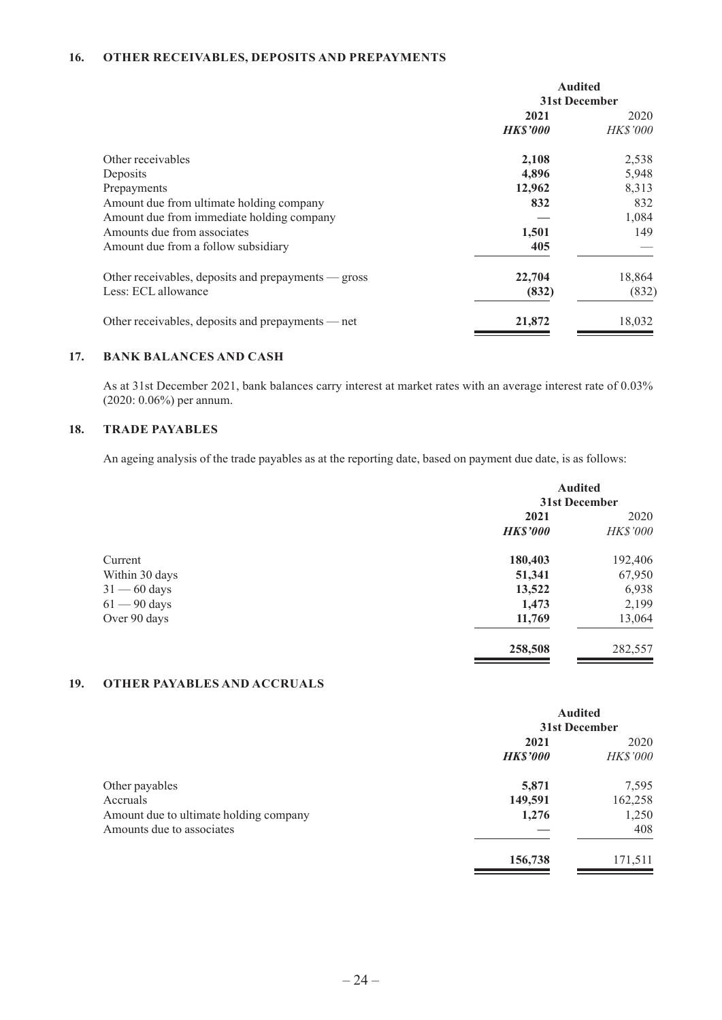### **16. OTHER RECEIVABLES, DEPOSITS AND PREPAYMENTS**

|                                                     | <b>Audited</b><br>31st December |                 |
|-----------------------------------------------------|---------------------------------|-----------------|
|                                                     | 2021<br>2020                    |                 |
|                                                     | <b>HK\$'000</b>                 | <i>HK\$'000</i> |
| Other receivables                                   | 2,108                           | 2,538           |
| Deposits                                            | 4,896                           | 5,948           |
| Prepayments                                         | 12,962                          | 8,313           |
| Amount due from ultimate holding company            | 832                             | 832             |
| Amount due from immediate holding company           |                                 | 1,084           |
| Amounts due from associates                         | 1,501                           | 149             |
| Amount due from a follow subsidiary                 | 405                             |                 |
| Other receivables, deposits and prepayments — gross | 22,704                          | 18,864          |
| Less: ECL allowance                                 | (832)                           | (832)           |
| Other receivables, deposits and prepayments — net   | 21,872                          | 18,032          |

### **17. BANK BALANCES AND CASH**

As at 31st December 2021, bank balances carry interest at market rates with an average interest rate of 0.03% (2020: 0.06%) per annum.

#### **18. TRADE PAYABLES**

An ageing analysis of the trade payables as at the reporting date, based on payment due date, is as follows:

|                                | <b>Audited</b><br>31st December |                   |
|--------------------------------|---------------------------------|-------------------|
|                                | 2021<br><b>HK\$'000</b>         | 2020<br>HK\$'000  |
| Current<br>Within 30 days      | 180,403<br>51,341               | 192,406<br>67,950 |
| $31 - 60$ days                 | 13,522                          | 6,938             |
| $61 - 90$ days<br>Over 90 days | 1,473<br>11,769                 | 2,199<br>13,064   |
|                                | 258,508                         | 282,557           |

### **19. OTHER PAYABLES AND ACCRUALS**

|                                                                     | <b>Audited</b><br>31st December |                  |
|---------------------------------------------------------------------|---------------------------------|------------------|
|                                                                     | 2021<br><b>HK\$'000</b>         | 2020<br>HK\$'000 |
| Other payables<br>Accruals                                          | 5,871<br>149,591                | 7,595<br>162,258 |
| Amount due to ultimate holding company<br>Amounts due to associates | 1,276                           | 1,250<br>408     |
|                                                                     | 156,738                         | 171,511          |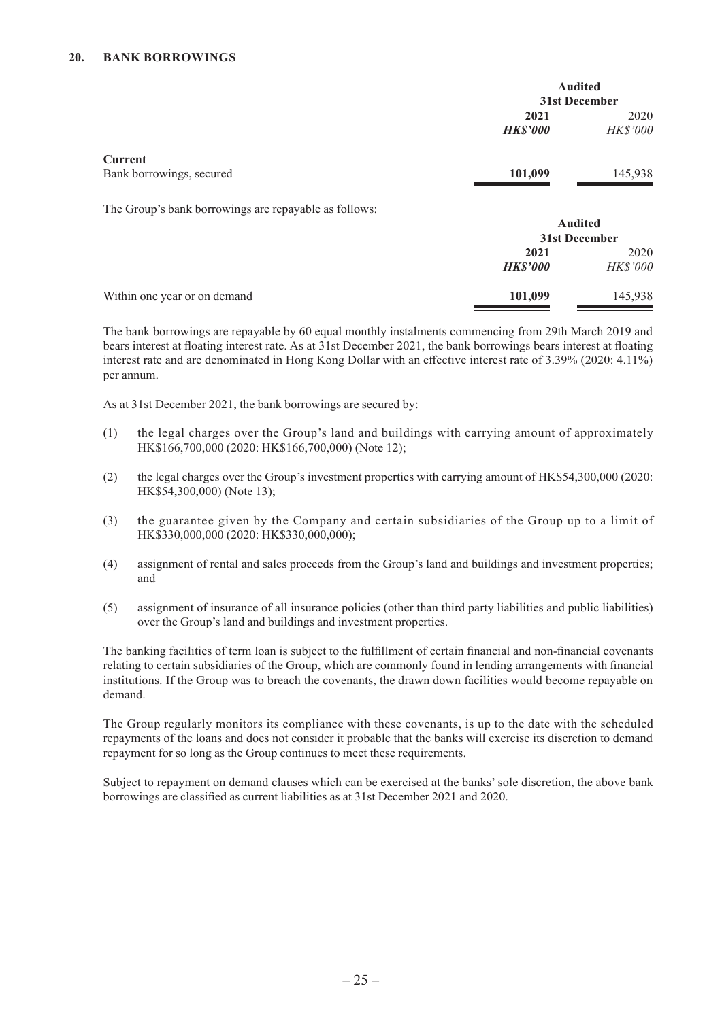### **20. BANK BORROWINGS**

|                                                       | <b>Audited</b>  |                 |
|-------------------------------------------------------|-----------------|-----------------|
|                                                       | 31st December   |                 |
|                                                       | 2021            | 2020            |
|                                                       | <b>HK\$'000</b> | <b>HK\$'000</b> |
| <b>Current</b>                                        |                 |                 |
| Bank borrowings, secured                              | 101,099         | 145,938         |
| The Group's bank borrowings are repayable as follows: |                 |                 |
|                                                       | <b>Audited</b>  |                 |
|                                                       | 31st December   |                 |
|                                                       | 2021            | 2020            |
|                                                       | <b>HK\$'000</b> | <b>HK\$'000</b> |
| Within one year or on demand                          | 101,099         | 145,938         |

The bank borrowings are repayable by 60 equal monthly instalments commencing from 29th March 2019 and bears interest at floating interest rate. As at 31st December 2021, the bank borrowings bears interest at floating interest rate and are denominated in Hong Kong Dollar with an effective interest rate of 3.39% (2020: 4.11%) per annum.

As at 31st December 2021, the bank borrowings are secured by:

- (1) the legal charges over the Group's land and buildings with carrying amount of approximately HK\$166,700,000 (2020: HK\$166,700,000) (Note 12);
- (2) the legal charges over the Group's investment properties with carrying amount of HK\$54,300,000 (2020: HK\$54,300,000) (Note 13);
- (3) the guarantee given by the Company and certain subsidiaries of the Group up to a limit of HK\$330,000,000 (2020: HK\$330,000,000);
- (4) assignment of rental and sales proceeds from the Group's land and buildings and investment properties; and
- (5) assignment of insurance of all insurance policies (other than third party liabilities and public liabilities) over the Group's land and buildings and investment properties.

The banking facilities of term loan is subject to the fulfillment of certain financial and non-financial covenants relating to certain subsidiaries of the Group, which are commonly found in lending arrangements with financial institutions. If the Group was to breach the covenants, the drawn down facilities would become repayable on demand.

The Group regularly monitors its compliance with these covenants, is up to the date with the scheduled repayments of the loans and does not consider it probable that the banks will exercise its discretion to demand repayment for so long as the Group continues to meet these requirements.

Subject to repayment on demand clauses which can be exercised at the banks' sole discretion, the above bank borrowings are classified as current liabilities as at 31st December 2021 and 2020.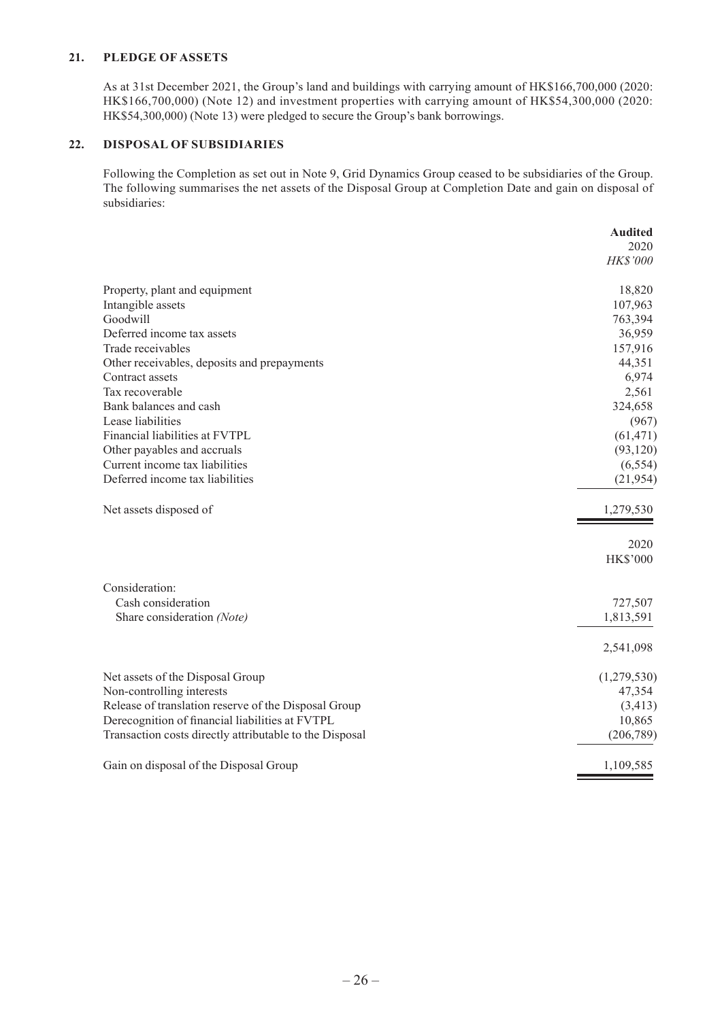### **21. PLEDGE OF ASSETS**

As at 31st December 2021, the Group's land and buildings with carrying amount of HK\$166,700,000 (2020: HK\$166,700,000) (Note 12) and investment properties with carrying amount of HK\$54,300,000 (2020: HK\$54,300,000) (Note 13) were pledged to secure the Group's bank borrowings.

### **22. DISPOSAL OF SUBSIDIARIES**

Following the Completion as set out in Note 9, Grid Dynamics Group ceased to be subsidiaries of the Group. The following summarises the net assets of the Disposal Group at Completion Date and gain on disposal of subsidiaries:

|                                                         | <b>Audited</b>  |
|---------------------------------------------------------|-----------------|
|                                                         | 2020            |
|                                                         | HK\$'000        |
| Property, plant and equipment                           | 18,820          |
| Intangible assets                                       | 107,963         |
| Goodwill                                                | 763,394         |
| Deferred income tax assets                              | 36,959          |
| Trade receivables                                       | 157,916         |
| Other receivables, deposits and prepayments             | 44,351          |
| Contract assets                                         | 6,974           |
| Tax recoverable                                         | 2,561           |
| Bank balances and cash                                  | 324,658         |
| Lease liabilities                                       | (967)           |
| Financial liabilities at FVTPL                          | (61, 471)       |
| Other payables and accruals                             | (93, 120)       |
| Current income tax liabilities                          | (6, 554)        |
| Deferred income tax liabilities                         | (21, 954)       |
| Net assets disposed of                                  | 1,279,530       |
|                                                         | 2020            |
|                                                         | <b>HK\$'000</b> |
| Consideration:                                          |                 |
| Cash consideration                                      | 727,507         |
| Share consideration (Note)                              | 1,813,591       |
|                                                         | 2,541,098       |
| Net assets of the Disposal Group                        | (1,279,530)     |
| Non-controlling interests                               | 47,354          |
| Release of translation reserve of the Disposal Group    | (3, 413)        |
| Derecognition of financial liabilities at FVTPL         | 10,865          |
| Transaction costs directly attributable to the Disposal | (206, 789)      |
| Gain on disposal of the Disposal Group                  | 1,109,585       |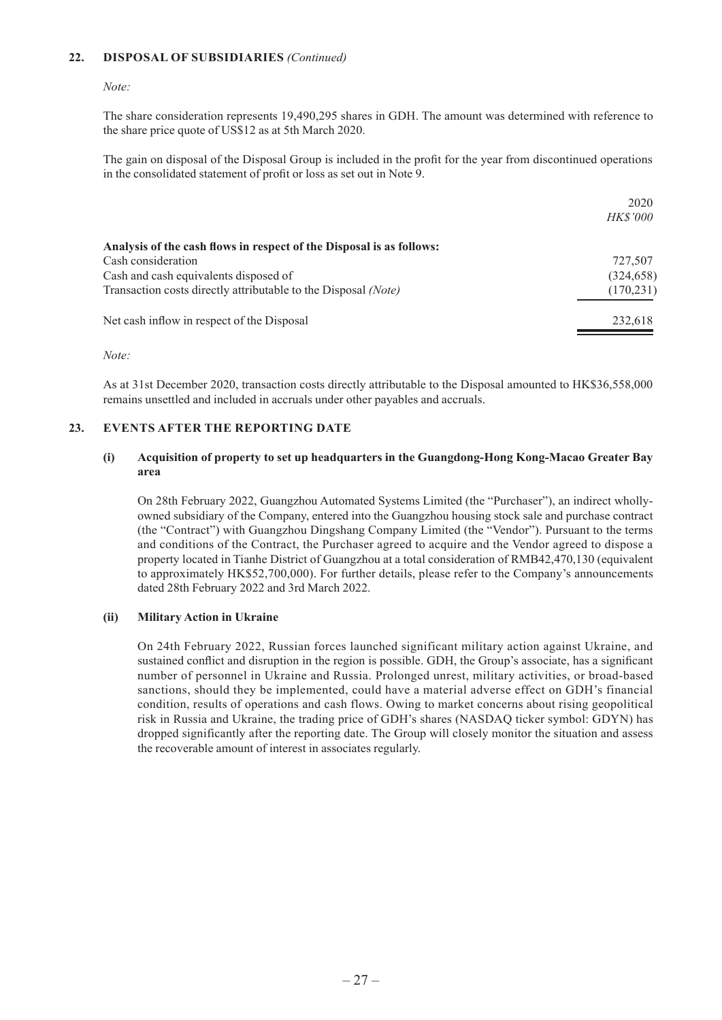### **22. DISPOSAL OF SUBSIDIARIES** *(Continued)*

*Note:*

The share consideration represents 19,490,295 shares in GDH. The amount was determined with reference to the share price quote of US\$12 as at 5th March 2020.

The gain on disposal of the Disposal Group is included in the profit for the year from discontinued operations in the consolidated statement of profit or loss as set out in Note 9.

 $2020$ 

| 727,507    |
|------------|
| (324, 658) |
| (170, 231) |
| 232,618    |
|            |

*Note:*

As at 31st December 2020, transaction costs directly attributable to the Disposal amounted to HK\$36,558,000 remains unsettled and included in accruals under other payables and accruals.

#### **23. EVENTS AFTER THE REPORTING DATE**

#### **(i) Acquisition of property to set up headquarters in the Guangdong-Hong Kong-Macao Greater Bay area**

On 28th February 2022, Guangzhou Automated Systems Limited (the "Purchaser"), an indirect whollyowned subsidiary of the Company, entered into the Guangzhou housing stock sale and purchase contract (the "Contract") with Guangzhou Dingshang Company Limited (the "Vendor"). Pursuant to the terms and conditions of the Contract, the Purchaser agreed to acquire and the Vendor agreed to dispose a property located in Tianhe District of Guangzhou at a total consideration of RMB42,470,130 (equivalent to approximately HK\$52,700,000). For further details, please refer to the Company's announcements dated 28th February 2022 and 3rd March 2022.

#### **(ii) Military Action in Ukraine**

On 24th February 2022, Russian forces launched significant military action against Ukraine, and sustained conflict and disruption in the region is possible. GDH, the Group's associate, has a significant number of personnel in Ukraine and Russia. Prolonged unrest, military activities, or broad-based sanctions, should they be implemented, could have a material adverse effect on GDH's financial condition, results of operations and cash flows. Owing to market concerns about rising geopolitical risk in Russia and Ukraine, the trading price of GDH's shares (NASDAQ ticker symbol: GDYN) has dropped significantly after the reporting date. The Group will closely monitor the situation and assess the recoverable amount of interest in associates regularly.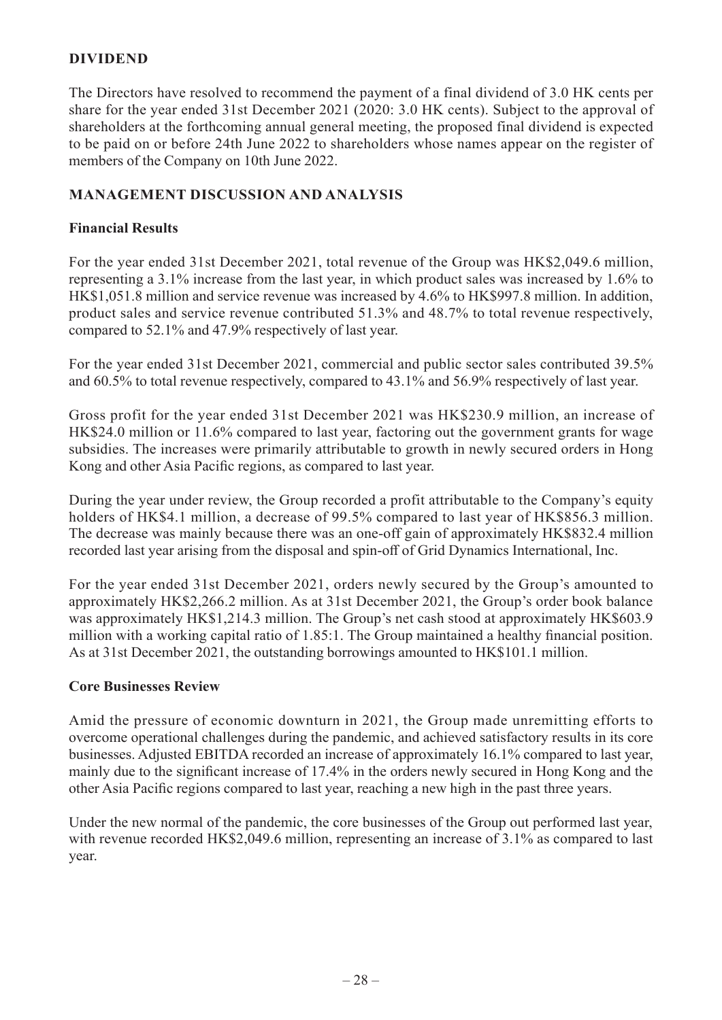### **DIVIDEND**

The Directors have resolved to recommend the payment of a final dividend of 3.0 HK cents per share for the year ended 31st December 2021 (2020: 3.0 HK cents). Subject to the approval of shareholders at the forthcoming annual general meeting, the proposed final dividend is expected to be paid on or before 24th June 2022 to shareholders whose names appear on the register of members of the Company on 10th June 2022.

### **MANAGEMENT DISCUSSION AND ANALYSIS**

### **Financial Results**

For the year ended 31st December 2021, total revenue of the Group was HK\$2,049.6 million, representing a 3.1% increase from the last year, in which product sales was increased by 1.6% to HK\$1,051.8 million and service revenue was increased by 4.6% to HK\$997.8 million. In addition, product sales and service revenue contributed 51.3% and 48.7% to total revenue respectively, compared to 52.1% and 47.9% respectively of last year.

For the year ended 31st December 2021, commercial and public sector sales contributed 39.5% and 60.5% to total revenue respectively, compared to 43.1% and 56.9% respectively of last year.

Gross profit for the year ended 31st December 2021 was HK\$230.9 million, an increase of HK\$24.0 million or 11.6% compared to last year, factoring out the government grants for wage subsidies. The increases were primarily attributable to growth in newly secured orders in Hong Kong and other Asia Pacific regions, as compared to last year.

During the year under review, the Group recorded a profit attributable to the Company's equity holders of HK\$4.1 million, a decrease of 99.5% compared to last year of HK\$856.3 million. The decrease was mainly because there was an one-off gain of approximately HK\$832.4 million recorded last year arising from the disposal and spin-off of Grid Dynamics International, Inc.

For the year ended 31st December 2021, orders newly secured by the Group's amounted to approximately HK\$2,266.2 million. As at 31st December 2021, the Group's order book balance was approximately HK\$1,214.3 million. The Group's net cash stood at approximately HK\$603.9 million with a working capital ratio of 1.85:1. The Group maintained a healthy financial position. As at 31st December 2021, the outstanding borrowings amounted to HK\$101.1 million.

### **Core Businesses Review**

Amid the pressure of economic downturn in 2021, the Group made unremitting efforts to overcome operational challenges during the pandemic, and achieved satisfactory results in its core businesses. Adjusted EBITDA recorded an increase of approximately 16.1% compared to last year, mainly due to the significant increase of 17.4% in the orders newly secured in Hong Kong and the other Asia Pacific regions compared to last year, reaching a new high in the past three years.

Under the new normal of the pandemic, the core businesses of the Group out performed last year, with revenue recorded HK\$2,049.6 million, representing an increase of 3.1% as compared to last year.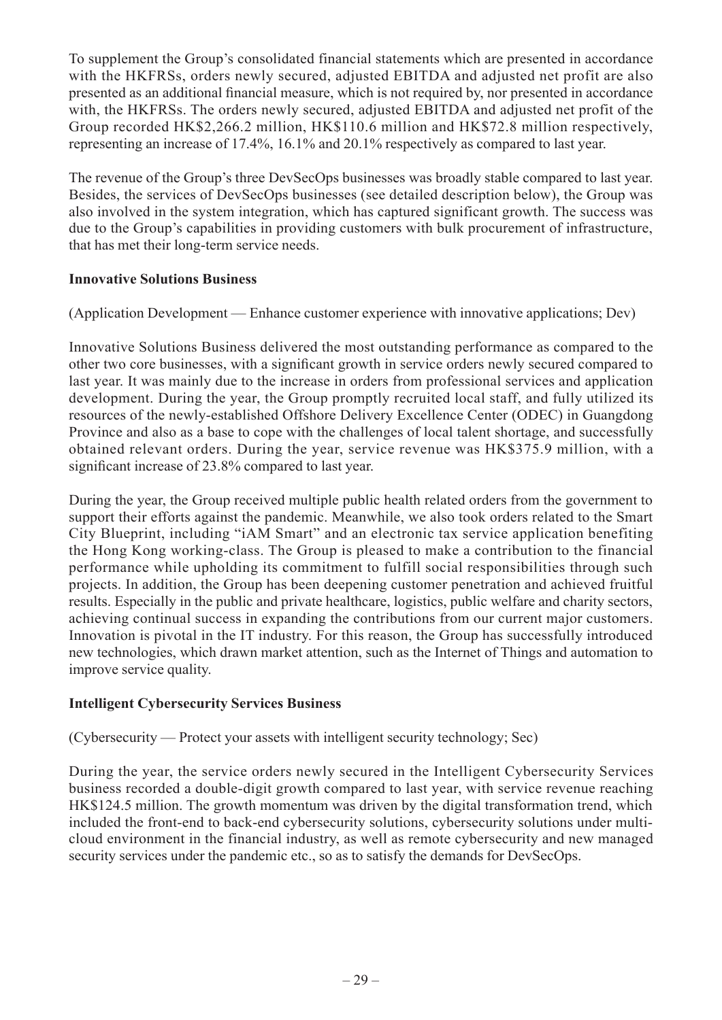To supplement the Group's consolidated financial statements which are presented in accordance with the HKFRSs, orders newly secured, adjusted EBITDA and adjusted net profit are also presented as an additional financial measure, which is not required by, nor presented in accordance with, the HKFRSs. The orders newly secured, adjusted EBITDA and adjusted net profit of the Group recorded HK\$2,266.2 million, HK\$110.6 million and HK\$72.8 million respectively, representing an increase of 17.4%, 16.1% and 20.1% respectively as compared to last year.

The revenue of the Group's three DevSecOps businesses was broadly stable compared to last year. Besides, the services of DevSecOps businesses (see detailed description below), the Group was also involved in the system integration, which has captured significant growth. The success was due to the Group's capabilities in providing customers with bulk procurement of infrastructure, that has met their long-term service needs.

### **Innovative Solutions Business**

(Application Development — Enhance customer experience with innovative applications; Dev)

Innovative Solutions Business delivered the most outstanding performance as compared to the other two core businesses, with a significant growth in service orders newly secured compared to last year. It was mainly due to the increase in orders from professional services and application development. During the year, the Group promptly recruited local staff, and fully utilized its resources of the newly-established Offshore Delivery Excellence Center (ODEC) in Guangdong Province and also as a base to cope with the challenges of local talent shortage, and successfully obtained relevant orders. During the year, service revenue was HK\$375.9 million, with a significant increase of 23.8% compared to last year.

During the year, the Group received multiple public health related orders from the government to support their efforts against the pandemic. Meanwhile, we also took orders related to the Smart City Blueprint, including "iAM Smart" and an electronic tax service application benefiting the Hong Kong working-class. The Group is pleased to make a contribution to the financial performance while upholding its commitment to fulfill social responsibilities through such projects. In addition, the Group has been deepening customer penetration and achieved fruitful results. Especially in the public and private healthcare, logistics, public welfare and charity sectors, achieving continual success in expanding the contributions from our current major customers. Innovation is pivotal in the IT industry. For this reason, the Group has successfully introduced new technologies, which drawn market attention, such as the Internet of Things and automation to improve service quality.

### **Intelligent Cybersecurity Services Business**

(Cybersecurity — Protect your assets with intelligent security technology; Sec)

During the year, the service orders newly secured in the Intelligent Cybersecurity Services business recorded a double-digit growth compared to last year, with service revenue reaching HK\$124.5 million. The growth momentum was driven by the digital transformation trend, which included the front-end to back-end cybersecurity solutions, cybersecurity solutions under multicloud environment in the financial industry, as well as remote cybersecurity and new managed security services under the pandemic etc., so as to satisfy the demands for DevSecOps.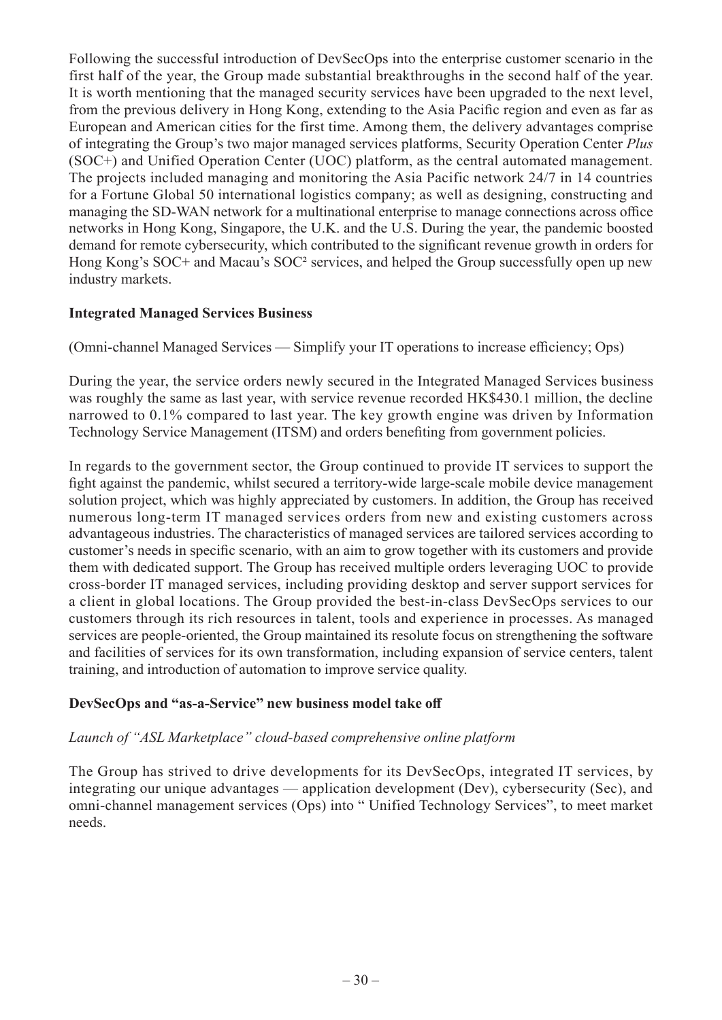Following the successful introduction of DevSecOps into the enterprise customer scenario in the first half of the year, the Group made substantial breakthroughs in the second half of the year. It is worth mentioning that the managed security services have been upgraded to the next level, from the previous delivery in Hong Kong, extending to the Asia Pacific region and even as far as European and American cities for the first time. Among them, the delivery advantages comprise of integrating the Group's two major managed services platforms, Security Operation Center *Plus* (SOC+) and Unified Operation Center (UOC) platform, as the central automated management. The projects included managing and monitoring the Asia Pacific network 24/7 in 14 countries for a Fortune Global 50 international logistics company; as well as designing, constructing and managing the SD-WAN network for a multinational enterprise to manage connections across office networks in Hong Kong, Singapore, the U.K. and the U.S. During the year, the pandemic boosted demand for remote cybersecurity, which contributed to the significant revenue growth in orders for Hong Kong's SOC+ and Macau's SOC² services, and helped the Group successfully open up new industry markets.

### **Integrated Managed Services Business**

(Omni-channel Managed Services — Simplify your IT operations to increase efficiency; Ops)

During the year, the service orders newly secured in the Integrated Managed Services business was roughly the same as last year, with service revenue recorded HK\$430.1 million, the decline narrowed to 0.1% compared to last year. The key growth engine was driven by Information Technology Service Management (ITSM) and orders benefiting from government policies.

In regards to the government sector, the Group continued to provide IT services to support the fight against the pandemic, whilst secured a territory-wide large-scale mobile device management solution project, which was highly appreciated by customers. In addition, the Group has received numerous long-term IT managed services orders from new and existing customers across advantageous industries. The characteristics of managed services are tailored services according to customer's needs in specific scenario, with an aim to grow together with its customers and provide them with dedicated support. The Group has received multiple orders leveraging UOC to provide cross-border IT managed services, including providing desktop and server support services for a client in global locations. The Group provided the best-in-class DevSecOps services to our customers through its rich resources in talent, tools and experience in processes. As managed services are people-oriented, the Group maintained its resolute focus on strengthening the software and facilities of services for its own transformation, including expansion of service centers, talent training, and introduction of automation to improve service quality.

### **DevSecOps and "as-a-Service" new business model take off**

### *Launch of "ASL Marketplace" cloud-based comprehensive online platform*

The Group has strived to drive developments for its DevSecOps, integrated IT services, by integrating our unique advantages — application development (Dev), cybersecurity (Sec), and omni-channel management services (Ops) into " Unified Technology Services", to meet market needs.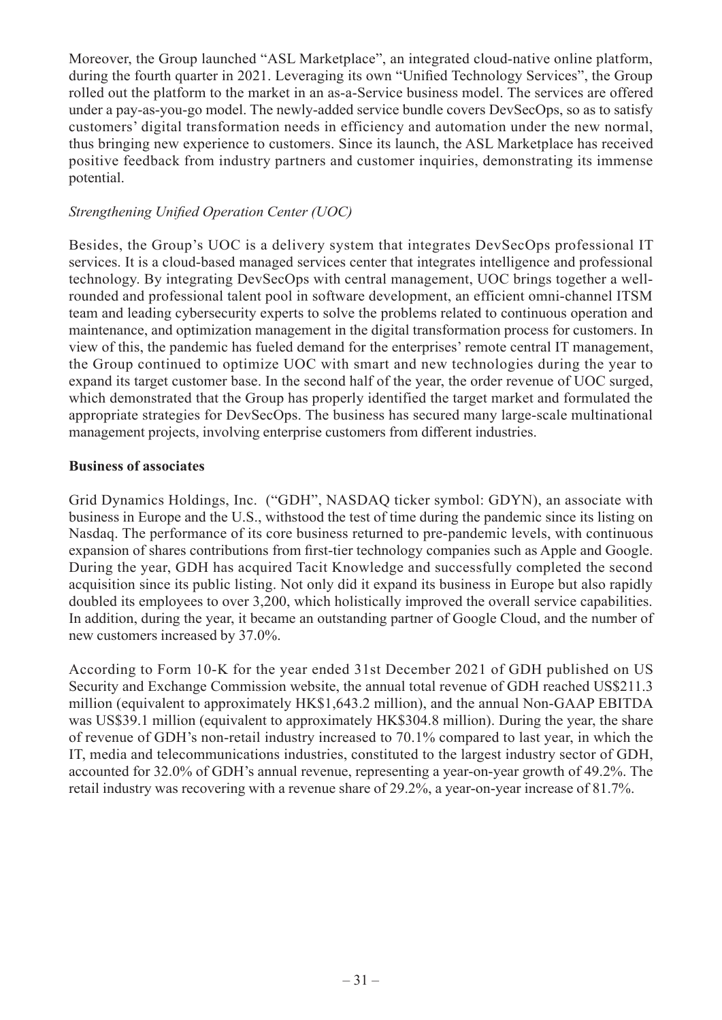Moreover, the Group launched "ASL Marketplace", an integrated cloud-native online platform, during the fourth quarter in 2021. Leveraging its own "Unified Technology Services", the Group rolled out the platform to the market in an as-a-Service business model. The services are offered under a pay-as-you-go model. The newly-added service bundle covers DevSecOps, so as to satisfy customers' digital transformation needs in efficiency and automation under the new normal, thus bringing new experience to customers. Since its launch, the ASL Marketplace has received positive feedback from industry partners and customer inquiries, demonstrating its immense potential.

### *Strengthening Unified Operation Center (UOC)*

Besides, the Group's UOC is a delivery system that integrates DevSecOps professional IT services. It is a cloud-based managed services center that integrates intelligence and professional technology. By integrating DevSecOps with central management, UOC brings together a wellrounded and professional talent pool in software development, an efficient omni-channel ITSM team and leading cybersecurity experts to solve the problems related to continuous operation and maintenance, and optimization management in the digital transformation process for customers. In view of this, the pandemic has fueled demand for the enterprises' remote central IT management, the Group continued to optimize UOC with smart and new technologies during the year to expand its target customer base. In the second half of the year, the order revenue of UOC surged, which demonstrated that the Group has properly identified the target market and formulated the appropriate strategies for DevSecOps. The business has secured many large-scale multinational management projects, involving enterprise customers from different industries.

### **Business of associates**

Grid Dynamics Holdings, Inc. ("GDH", NASDAQ ticker symbol: GDYN), an associate with business in Europe and the U.S., withstood the test of time during the pandemic since its listing on Nasdaq. The performance of its core business returned to pre-pandemic levels, with continuous expansion of shares contributions from first-tier technology companies such as Apple and Google. During the year, GDH has acquired Tacit Knowledge and successfully completed the second acquisition since its public listing. Not only did it expand its business in Europe but also rapidly doubled its employees to over 3,200, which holistically improved the overall service capabilities. In addition, during the year, it became an outstanding partner of Google Cloud, and the number of new customers increased by 37.0%.

According to Form 10-K for the year ended 31st December 2021 of GDH published on US Security and Exchange Commission website, the annual total revenue of GDH reached US\$211.3 million (equivalent to approximately HK\$1,643.2 million), and the annual Non-GAAP EBITDA was US\$39.1 million (equivalent to approximately HK\$304.8 million). During the year, the share of revenue of GDH's non-retail industry increased to 70.1% compared to last year, in which the IT, media and telecommunications industries, constituted to the largest industry sector of GDH, accounted for 32.0% of GDH's annual revenue, representing a year-on-year growth of 49.2%. The retail industry was recovering with a revenue share of 29.2%, a year-on-year increase of 81.7%.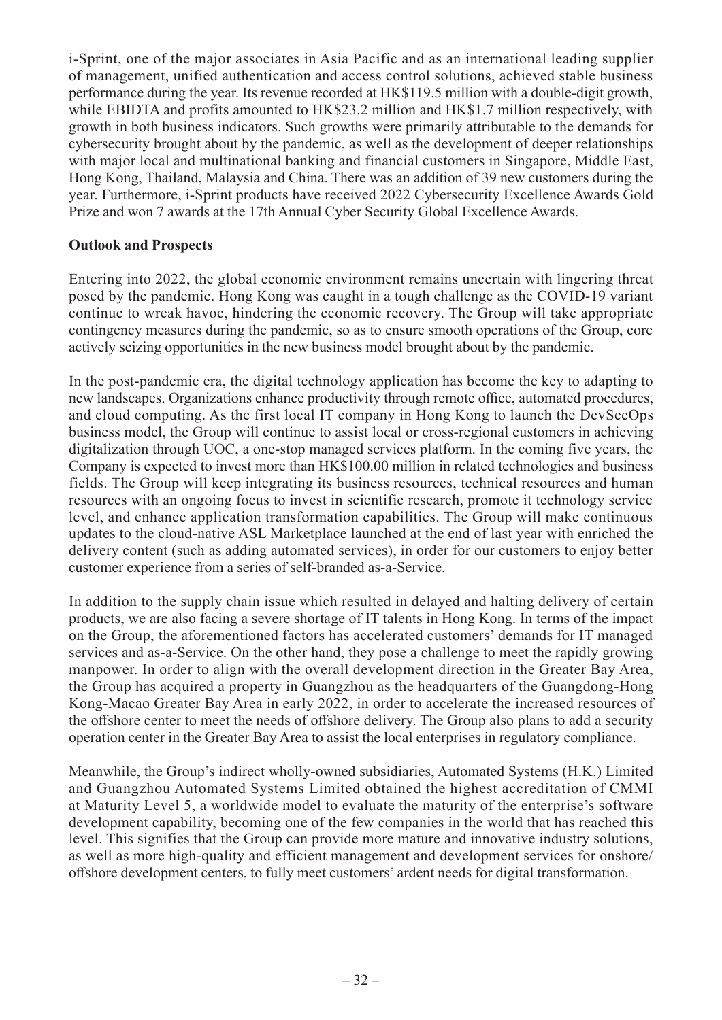i-Sprint, one of the major associates in Asia Pacific and as an international leading supplier of management, unified authentication and access control solutions, achieved stable business performance during the year. Its revenue recorded at HK\$119.5 million with a double-digit growth, while EBIDTA and profits amounted to HK\$23.2 million and HK\$1.7 million respectively, with growth in both business indicators. Such growths were primarily attributable to the demands for cybersecurity brought about by the pandemic, as well as the development of deeper relationships with major local and multinational banking and financial customers in Singapore, Middle East, Hong Kong, Thailand, Malaysia and China. There was an addition of 39 new customers during the year. Furthermore, i-Sprint products have received 2022 Cybersecurity Excellence Awards Gold Prize and won 7 awards at the 17th Annual Cyber Security Global Excellence Awards.

### **Outlook and Prospects**

Entering into 2022, the global economic environment remains uncertain with lingering threat posed by the pandemic. Hong Kong was caught in a tough challenge as the COVID-19 variant continue to wreak havoc, hindering the economic recovery. The Group will take appropriate contingency measures during the pandemic, so as to ensure smooth operations of the Group, core actively seizing opportunities in the new business model brought about by the pandemic.

In the post-pandemic era, the digital technology application has become the key to adapting to new landscapes. Organizations enhance productivity through remote office, automated procedures, and cloud computing. As the first local IT company in Hong Kong to launch the DevSecOps business model, the Group will continue to assist local or cross-regional customers in achieving digitalization through UOC, a one-stop managed services platform. In the coming five years, the Company is expected to invest more than HK\$100.00 million in related technologies and business fields. The Group will keep integrating its business resources, technical resources and human resources with an ongoing focus to invest in scientific research, promote it technology service level, and enhance application transformation capabilities. The Group will make continuous updates to the cloud-native ASL Marketplace launched at the end of last year with enriched the delivery content (such as adding automated services), in order for our customers to enjoy better customer experience from a series of self-branded as-a-Service.

In addition to the supply chain issue which resulted in delayed and halting delivery of certain products, we are also facing a severe shortage of IT talents in Hong Kong. In terms of the impact on the Group, the aforementioned factors has accelerated customers' demands for IT managed services and as-a-Service. On the other hand, they pose a challenge to meet the rapidly growing manpower. In order to align with the overall development direction in the Greater Bay Area, the Group has acquired a property in Guangzhou as the headquarters of the Guangdong-Hong Kong-Macao Greater Bay Area in early 2022, in order to accelerate the increased resources of the offshore center to meet the needs of offshore delivery. The Group also plans to add a security operation center in the Greater Bay Area to assist the local enterprises in regulatory compliance.

Meanwhile, the Group's indirect wholly-owned subsidiaries, Automated Systems (H.K.) Limited and Guangzhou Automated Systems Limited obtained the highest accreditation of CMMI at Maturity Level 5, a worldwide model to evaluate the maturity of the enterprise's software development capability, becoming one of the few companies in the world that has reached this level. This signifies that the Group can provide more mature and innovative industry solutions, as well as more high-quality and efficient management and development services for onshore/ offshore development centers, to fully meet customers' ardent needs for digital transformation.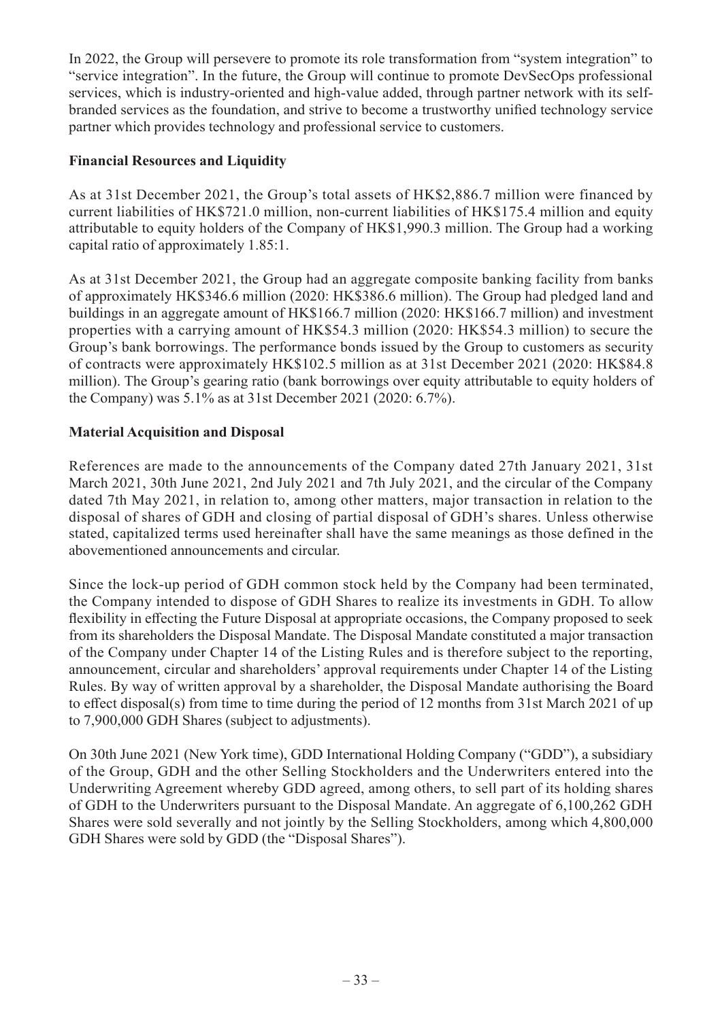In 2022, the Group will persevere to promote its role transformation from "system integration" to "service integration". In the future, the Group will continue to promote DevSecOps professional services, which is industry-oriented and high-value added, through partner network with its selfbranded services as the foundation, and strive to become a trustworthy unified technology service partner which provides technology and professional service to customers.

### **Financial Resources and Liquidity**

As at 31st December 2021, the Group's total assets of HK\$2,886.7 million were financed by current liabilities of HK\$721.0 million, non-current liabilities of HK\$175.4 million and equity attributable to equity holders of the Company of HK\$1,990.3 million. The Group had a working capital ratio of approximately 1.85:1.

As at 31st December 2021, the Group had an aggregate composite banking facility from banks of approximately HK\$346.6 million (2020: HK\$386.6 million). The Group had pledged land and buildings in an aggregate amount of HK\$166.7 million (2020: HK\$166.7 million) and investment properties with a carrying amount of HK\$54.3 million (2020: HK\$54.3 million) to secure the Group's bank borrowings. The performance bonds issued by the Group to customers as security of contracts were approximately HK\$102.5 million as at 31st December 2021 (2020: HK\$84.8 million). The Group's gearing ratio (bank borrowings over equity attributable to equity holders of the Company) was 5.1% as at 31st December 2021 (2020: 6.7%).

### **Material Acquisition and Disposal**

References are made to the announcements of the Company dated 27th January 2021, 31st March 2021, 30th June 2021, 2nd July 2021 and 7th July 2021, and the circular of the Company dated 7th May 2021, in relation to, among other matters, major transaction in relation to the disposal of shares of GDH and closing of partial disposal of GDH's shares. Unless otherwise stated, capitalized terms used hereinafter shall have the same meanings as those defined in the abovementioned announcements and circular.

Since the lock-up period of GDH common stock held by the Company had been terminated, the Company intended to dispose of GDH Shares to realize its investments in GDH. To allow flexibility in effecting the Future Disposal at appropriate occasions, the Company proposed to seek from its shareholders the Disposal Mandate. The Disposal Mandate constituted a major transaction of the Company under Chapter 14 of the Listing Rules and is therefore subject to the reporting, announcement, circular and shareholders' approval requirements under Chapter 14 of the Listing Rules. By way of written approval by a shareholder, the Disposal Mandate authorising the Board to effect disposal(s) from time to time during the period of 12 months from 31st March 2021 of up to 7,900,000 GDH Shares (subject to adjustments).

On 30th June 2021 (New York time), GDD International Holding Company ("GDD"), a subsidiary of the Group, GDH and the other Selling Stockholders and the Underwriters entered into the Underwriting Agreement whereby GDD agreed, among others, to sell part of its holding shares of GDH to the Underwriters pursuant to the Disposal Mandate. An aggregate of 6,100,262 GDH Shares were sold severally and not jointly by the Selling Stockholders, among which 4,800,000 GDH Shares were sold by GDD (the "Disposal Shares").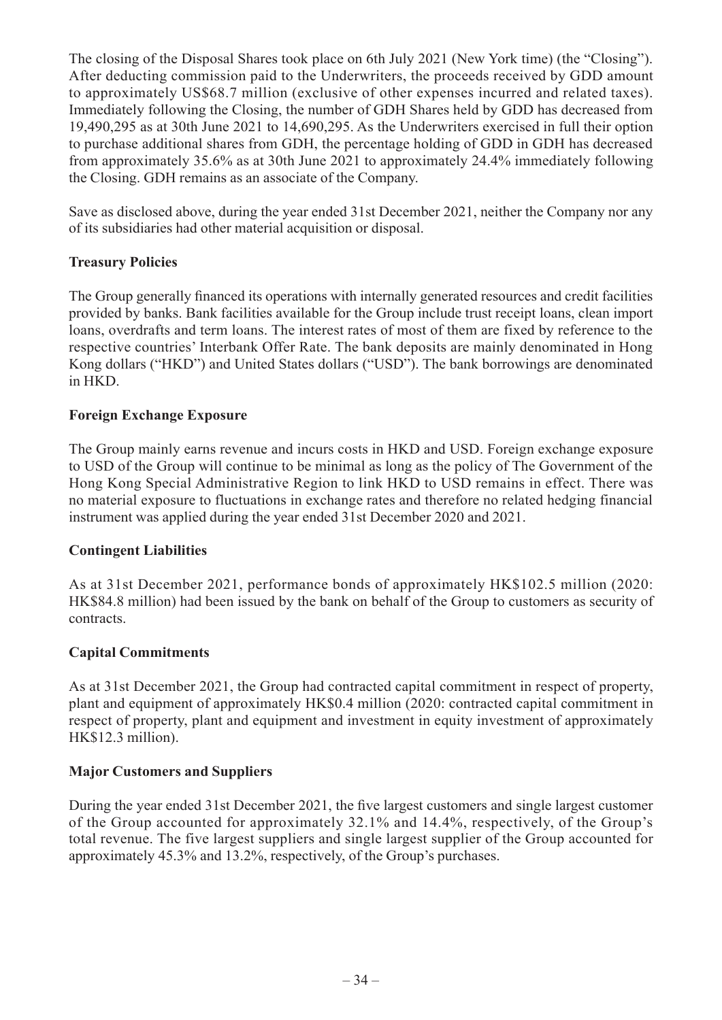The closing of the Disposal Shares took place on 6th July 2021 (New York time) (the "Closing"). After deducting commission paid to the Underwriters, the proceeds received by GDD amount to approximately US\$68.7 million (exclusive of other expenses incurred and related taxes). Immediately following the Closing, the number of GDH Shares held by GDD has decreased from 19,490,295 as at 30th June 2021 to 14,690,295. As the Underwriters exercised in full their option to purchase additional shares from GDH, the percentage holding of GDD in GDH has decreased from approximately 35.6% as at 30th June 2021 to approximately 24.4% immediately following the Closing. GDH remains as an associate of the Company.

Save as disclosed above, during the year ended 31st December 2021, neither the Company nor any of its subsidiaries had other material acquisition or disposal.

### **Treasury Policies**

The Group generally financed its operations with internally generated resources and credit facilities provided by banks. Bank facilities available for the Group include trust receipt loans, clean import loans, overdrafts and term loans. The interest rates of most of them are fixed by reference to the respective countries' Interbank Offer Rate. The bank deposits are mainly denominated in Hong Kong dollars ("HKD") and United States dollars ("USD"). The bank borrowings are denominated in HKD.

### **Foreign Exchange Exposure**

The Group mainly earns revenue and incurs costs in HKD and USD. Foreign exchange exposure to USD of the Group will continue to be minimal as long as the policy of The Government of the Hong Kong Special Administrative Region to link HKD to USD remains in effect. There was no material exposure to fluctuations in exchange rates and therefore no related hedging financial instrument was applied during the year ended 31st December 2020 and 2021.

### **Contingent Liabilities**

As at 31st December 2021, performance bonds of approximately HK\$102.5 million (2020: HK\$84.8 million) had been issued by the bank on behalf of the Group to customers as security of contracts.

### **Capital Commitments**

As at 31st December 2021, the Group had contracted capital commitment in respect of property, plant and equipment of approximately HK\$0.4 million (2020: contracted capital commitment in respect of property, plant and equipment and investment in equity investment of approximately HK\$12.3 million).

### **Major Customers and Suppliers**

During the year ended 31st December 2021, the five largest customers and single largest customer of the Group accounted for approximately 32.1% and 14.4%, respectively, of the Group's total revenue. The five largest suppliers and single largest supplier of the Group accounted for approximately 45.3% and 13.2%, respectively, of the Group's purchases.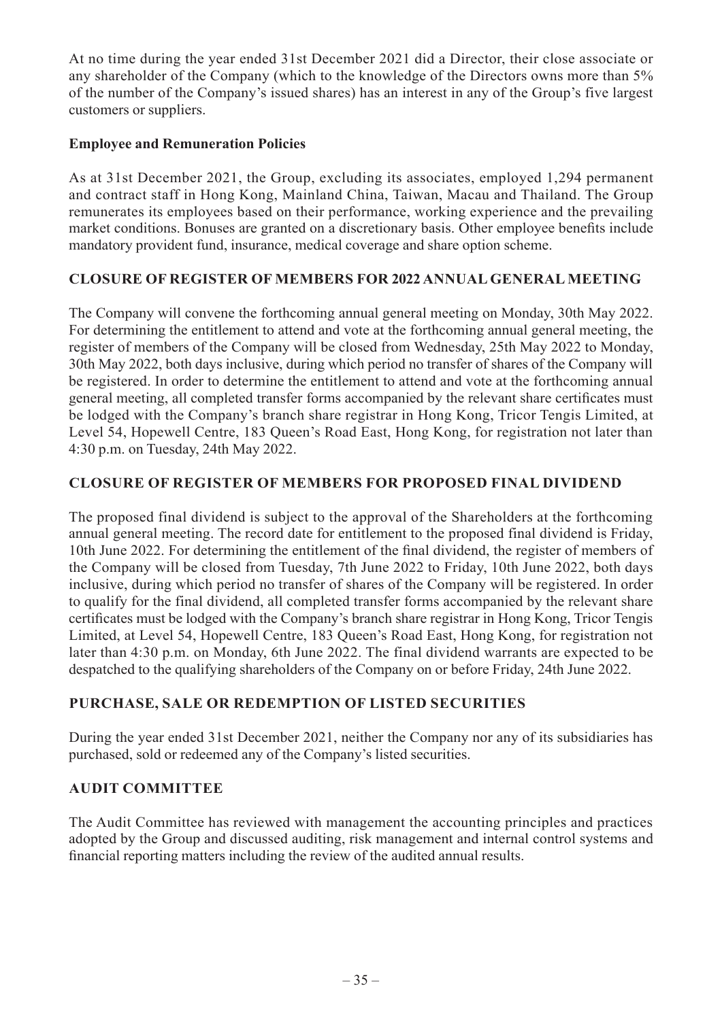At no time during the year ended 31st December 2021 did a Director, their close associate or any shareholder of the Company (which to the knowledge of the Directors owns more than 5% of the number of the Company's issued shares) has an interest in any of the Group's five largest customers or suppliers.

### **Employee and Remuneration Policies**

As at 31st December 2021, the Group, excluding its associates, employed 1,294 permanent and contract staff in Hong Kong, Mainland China, Taiwan, Macau and Thailand. The Group remunerates its employees based on their performance, working experience and the prevailing market conditions. Bonuses are granted on a discretionary basis. Other employee benefits include mandatory provident fund, insurance, medical coverage and share option scheme.

### **CLOSURE OF REGISTER OF MEMBERS FOR 2022 ANNUAL GENERAL MEETING**

The Company will convene the forthcoming annual general meeting on Monday, 30th May 2022. For determining the entitlement to attend and vote at the forthcoming annual general meeting, the register of members of the Company will be closed from Wednesday, 25th May 2022 to Monday, 30th May 2022, both days inclusive, during which period no transfer of shares of the Company will be registered. In order to determine the entitlement to attend and vote at the forthcoming annual general meeting, all completed transfer forms accompanied by the relevant share certificates must be lodged with the Company's branch share registrar in Hong Kong, Tricor Tengis Limited, at Level 54, Hopewell Centre, 183 Queen's Road East, Hong Kong, for registration not later than 4:30 p.m. on Tuesday, 24th May 2022.

### **CLOSURE OF REGISTER OF MEMBERS FOR PROPOSED FINAL DIVIDEND**

The proposed final dividend is subject to the approval of the Shareholders at the forthcoming annual general meeting. The record date for entitlement to the proposed final dividend is Friday, 10th June 2022. For determining the entitlement of the final dividend, the register of members of the Company will be closed from Tuesday, 7th June 2022 to Friday, 10th June 2022, both days inclusive, during which period no transfer of shares of the Company will be registered. In order to qualify for the final dividend, all completed transfer forms accompanied by the relevant share certificates must be lodged with the Company's branch share registrar in Hong Kong, Tricor Tengis Limited, at Level 54, Hopewell Centre, 183 Queen's Road East, Hong Kong, for registration not later than 4:30 p.m. on Monday, 6th June 2022. The final dividend warrants are expected to be despatched to the qualifying shareholders of the Company on or before Friday, 24th June 2022.

### **PURCHASE, SALE OR REDEMPTION OF LISTED SECURITIES**

During the year ended 31st December 2021, neither the Company nor any of its subsidiaries has purchased, sold or redeemed any of the Company's listed securities.

### **AUDIT COMMITTEE**

The Audit Committee has reviewed with management the accounting principles and practices adopted by the Group and discussed auditing, risk management and internal control systems and financial reporting matters including the review of the audited annual results.